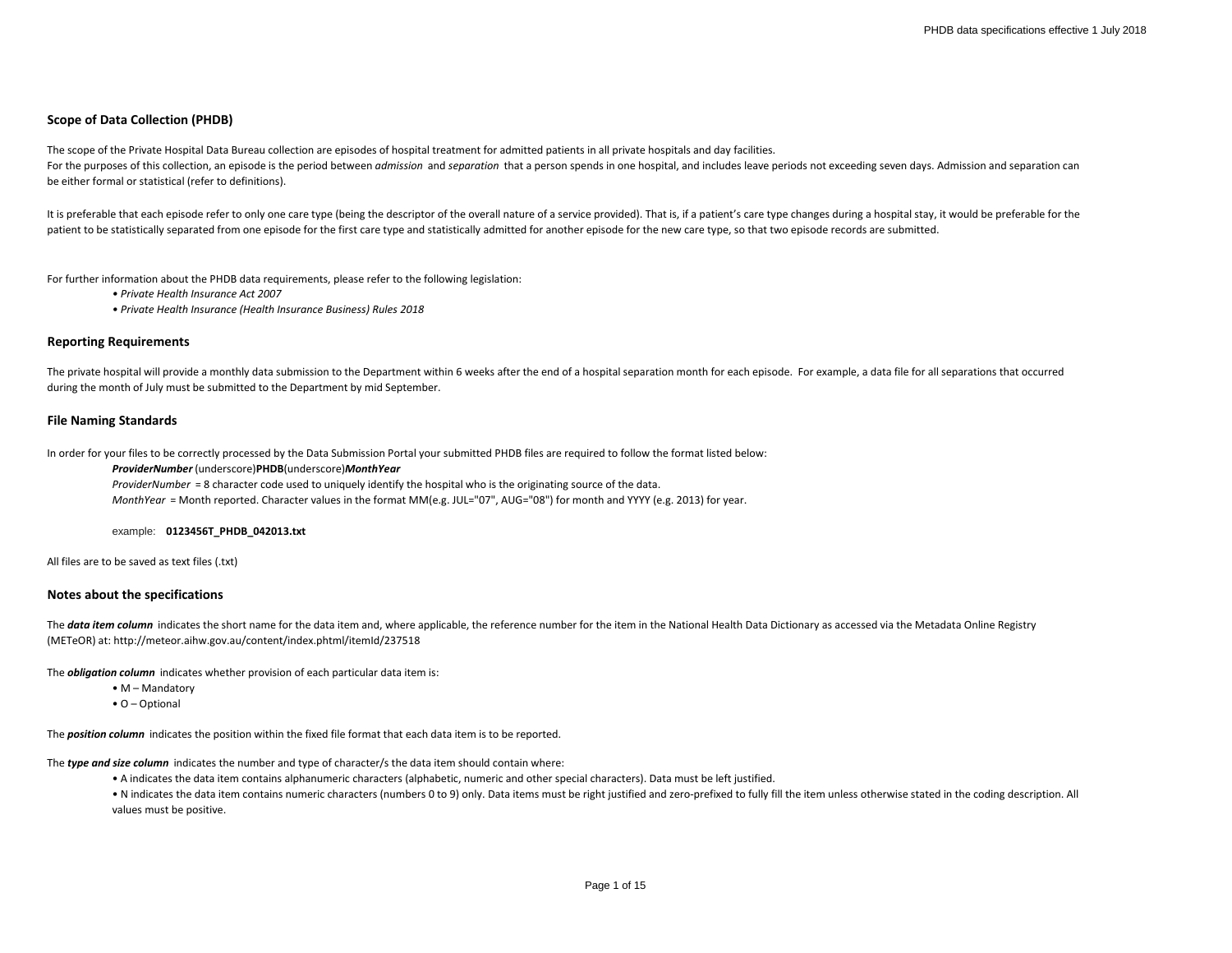## **Scope of Data Collection (PHDB)**

The scope of the Private Hospital Data Bureau collection are episodes of hospital treatment for admitted patients in all private hospitals and day facilities. For the purposes of this collection, an episode is the period between admission and separation that a person spends in one hospital, and includes leave periods not exceeding seven days. Admission and separation can be either formal or statistical (refer to definitions).

It is preferable that each episode refer to only one care type (being the descriptor of the overall nature of a service provided). That is, if a patient's care type changes during a hospital stay, it would be preferable fo patient to be statistically separated from one episode for the first care type and statistically admitted for another episode for the new care type, so that two episode records are submitted.

For further information about the PHDB data requirements, please refer to the following legislation:

*• Private Health Insurance Act 2007*

*• Private Health Insurance (Health Insurance Business) Rules 2018*

#### **Reporting Requirements**

The private hospital will provide a monthly data submission to the Department within 6 weeks after the end of a hospital separation month for each episode. For example, a data file for all separations that occurred during the month of July must be submitted to the Department by mid September.

#### **File Naming Standards**

In order for your files to be correctly processed by the Data Submission Portal your submitted PHDB files are required to follow the format listed below:

#### *ProviderNumber* (underscore)**PHDB**(underscore)*MonthYear*

*ProviderNumber* = 8 character code used to uniquely identify the hospital who is the originating source of the data. *MonthYear* = Month reported. Character values in the format MM(e.g. JUL="07", AUG="08") for month and YYYY (e.g. 2013) for year.

#### example: **0123456T\_PHDB\_042013.txt**

All files are to be saved as text files (.txt)

## **Notes about the specifications**

The **data item column** indicates the short name for the data item and, where applicable, the reference number for the item in the National Health Data Dictionary as accessed via the Metadata Online Registry (METeOR) at: http://meteor.aihw.gov.au/content/index.phtml/itemId/237518

The *obligation column* indicates whether provision of each particular data item is:

- M Mandatory
- O Optional

The *position column* indicates the position within the fixed file format that each data item is to be reported.

The *type and size column* indicates the number and type of character/s the data item should contain where:

• A indicates the data item contains alphanumeric characters (alphabetic, numeric and other special characters). Data must be left justified.

• N indicates the data item contains numeric characters (numbers 0 to 9) only. Data items must be right justified and zero-prefixed to fully fill the item unless otherwise stated in the coding description. All values must be positive.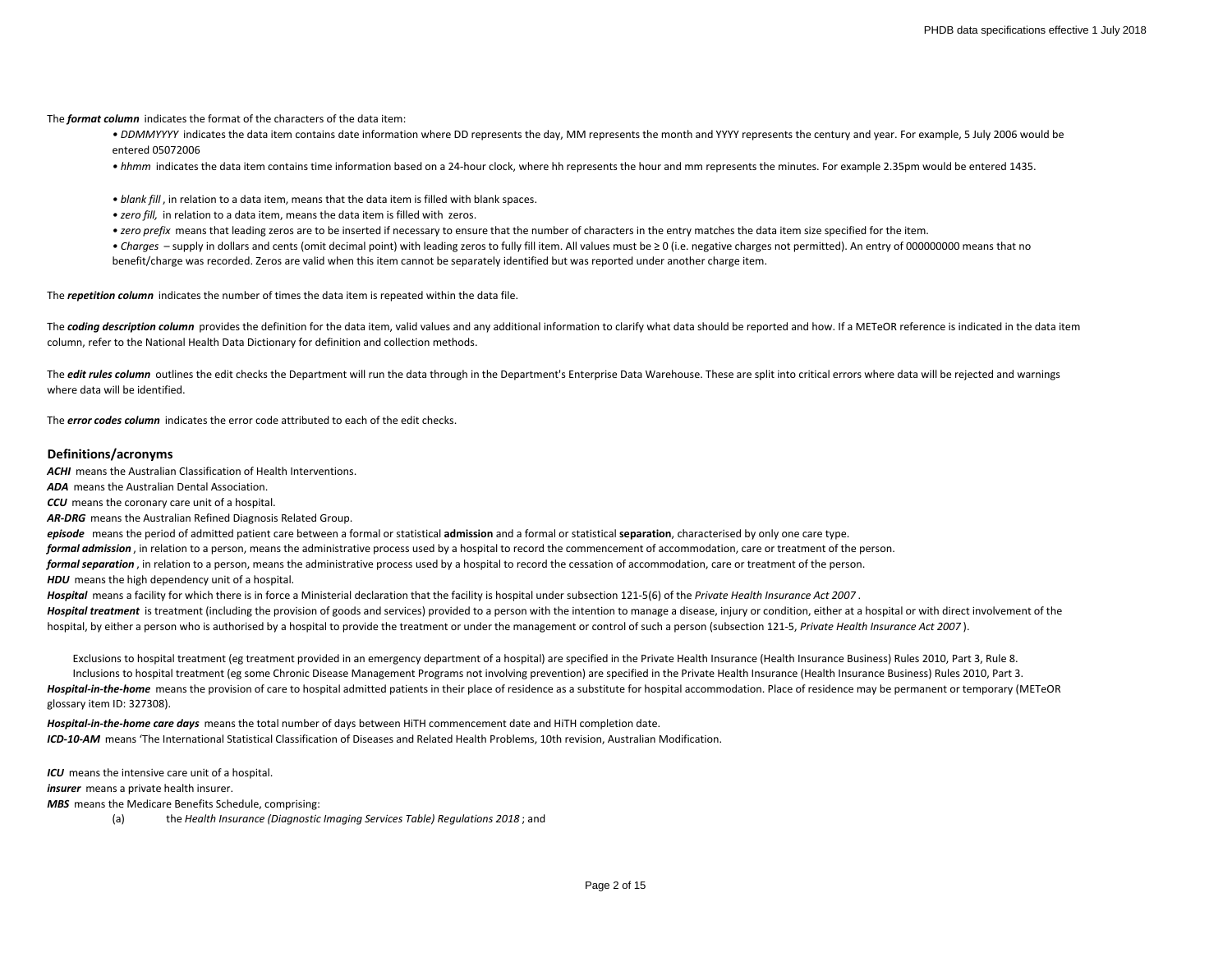The *format column* indicates the format of the characters of the data item:

• DDMMYYYY indicates the data item contains date information where DD represents the day, MM represents the month and YYYY represents the century and year. For example, 5 July 2006 would be entered 05072006

*• hhmm* indicates the data item contains time information based on a 24-hour clock, where hh represents the hour and mm represents the minutes. For example 2.35pm would be entered 1435.

*• blank fill* , in relation to a data item, means that the data item is filled with blank spaces.

- *zero fill,* in relation to a data item, means the data item is filled with zeros.
- *zero prefix* means that leading zeros are to be inserted if necessary to ensure that the number of characters in the entry matches the data item size specified for the item.

*• Charges* – supply in dollars and cents (omit decimal point) with leading zeros to fully fill item. All values must be ≥ 0 (i.e. negative charges not permitted). An entry of 000000000 means that no benefit/charge was recorded. Zeros are valid when this item cannot be separately identified but was reported under another charge item.

The *repetition column* indicates the number of times the data item is repeated within the data file.

The **coding description column** provides the definition for the data item, valid values and any additional information to clarify what data should be reported and how. If a METeOR reference is indicated in the data item column, refer to the National Health Data Dictionary for definition and collection methods.

The *edit rules column* outlines the edit checks the Department will run the data through in the Department's Enterprise Data Warehouse. These are split into critical errors where data will be rejected and warnings where data will be identified.

The *error codes column* indicates the error code attributed to each of the edit checks.

# **Definitions/acronyms**

*ACHI* means the Australian Classification of Health Interventions.

*ADA* means the Australian Dental Association.

*CCU* means the coronary care unit of a hospital.

*AR-DRG* means the Australian Refined Diagnosis Related Group.

*episode* means the period of admitted patient care between a formal or statistical **admission** and a formal or statistical **separation**, characterised by only one care type.

*formal admission* , in relation to a person, means the administrative process used by a hospital to record the commencement of accommodation, care or treatment of the person.

*formal separation* , in relation to a person, means the administrative process used by a hospital to record the cessation of accommodation, care or treatment of the person.

**HDU** means the high dependency unit of a hospital.

*Hospital* means a facility for which there is in force a Ministerial declaration that the facility is hospital under subsection 121-5(6) of the *Private Health Insurance Act 2007* .

Hospital treatment is treatment (including the provision of goods and services) provided to a person with the intention to manage a disease, injury or condition, either at a hospital or with direct involvement of the hospital, by either a person who is authorised by a hospital to provide the treatment or under the management or control of such a person (subsection 121-5, *Private Health Insurance Act 2007* ).

Hospital-in-the-home means the provision of care to hospital admitted patients in their place of residence as a substitute for hospital accommodation. Place of residence may be permanent or temporary (METeOR glossary item ID: 327308). Inclusions to hospital treatment (eg some Chronic Disease Management Programs not involving prevention) are specified in the Private Health Insurance (Health Insurance Business) Rules 2010, Part 3. Exclusions to hospital treatment (eg treatment provided in an emergency department of a hospital) are specified in the Private Health Insurance (Health Insurance Business) Rules 2010, Part 3, Rule 8.

*ICD-10-AM* means 'The International Statistical Classification of Diseases and Related Health Problems, 10th revision, Australian Modification. *Hospital-in-the-home care days* means the total number of days between HiTH commencement date and HiTH completion date.

*ICU* means the intensive care unit of a hospital.

*insurer* means a private health insurer.

*MBS* means the Medicare Benefits Schedule, comprising:

(a) the *Health Insurance (Diagnostic Imaging Services Table) Regulations 2018* ; and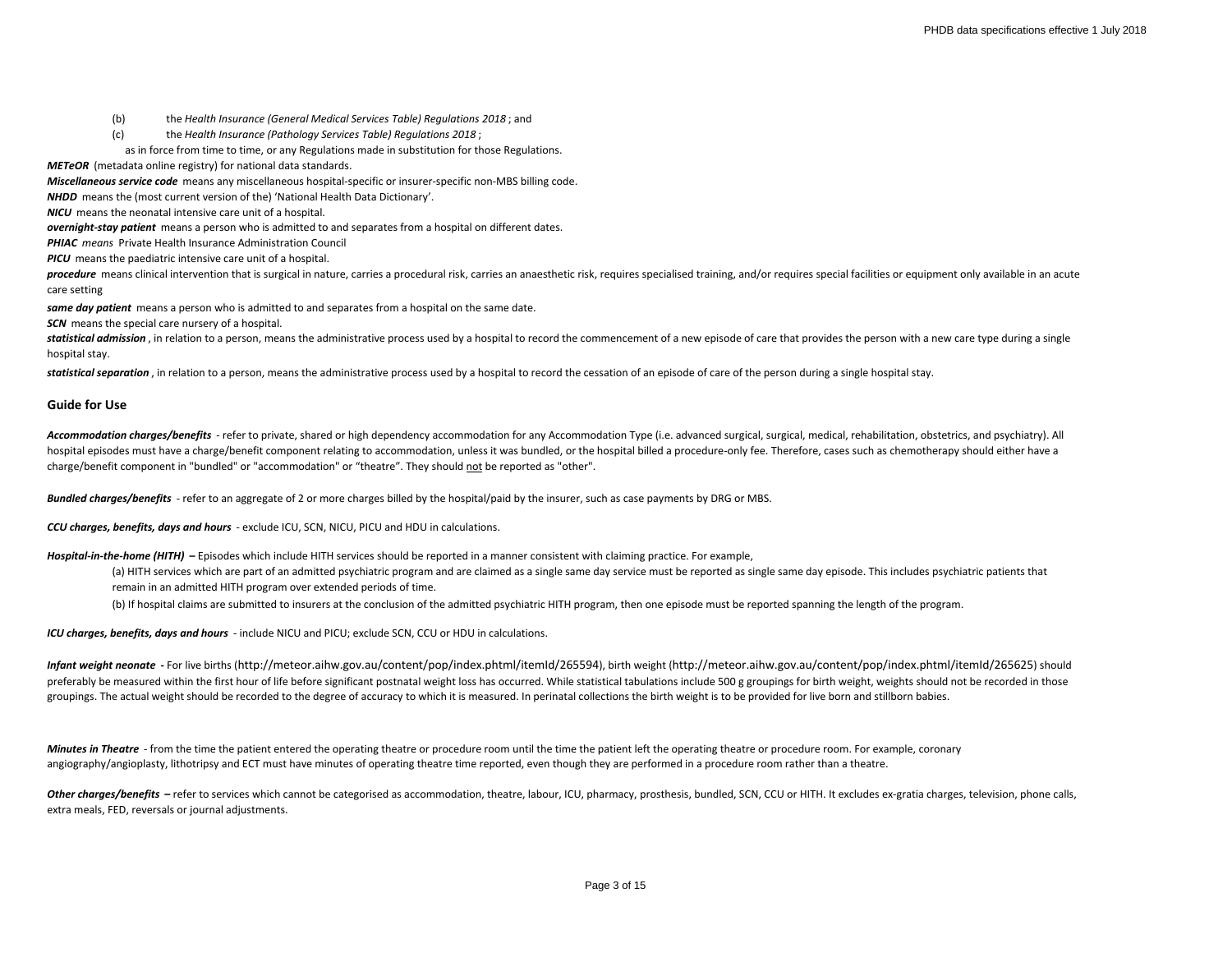- (b) the *Health Insurance (General Medical Services Table) Regulations 2018* ; and
- (c) the *Health Insurance (Pathology Services Table) Regulations 2018* ;
- as in force from time to time, or any Regulations made in substitution for those Regulations.

*METeOR* (metadata online registry) for national data standards.

*Miscellaneous service code* means any miscellaneous hospital-specific or insurer-specific non-MBS billing code.

*NHDD* means the (most current version of the) 'National Health Data Dictionary'.

*NICU* means the neonatal intensive care unit of a hospital.

*overnight-stay patient* means a person who is admitted to and separates from a hospital on different dates.

*PHIAC means* Private Health Insurance Administration Council

**PICU** means the paediatric intensive care unit of a hospital.

procedure means clinical intervention that is surgical in nature, carries a procedural risk, carries an anaesthetic risk, requires specialised training, and/or requires special facilities or equipment only available in an care setting

*same day patient* means a person who is admitted to and separates from a hospital on the same date.

**SCN** means the special care nursery of a hospital.

statistical admission, in relation to a person, means the administrative process used by a hospital to record the commencement of a new episode of care that provides the person with a new care type during a single hospital stay.

statistical separation, in relation to a person, means the administrative process used by a hospital to record the cessation of an episode of care of the person during a single hospital stay.

## **Guide for Use**

Accommodation charges/benefits - refer to private, shared or high dependency accommodation for any Accommodation Type (i.e. advanced surgical, surgical, medical, rehabilitation, obstetrics, and psychiatry). All hospital episodes must have a charge/benefit component relating to accommodation, unless it was bundled, or the hospital billed a procedure-only fee. Therefore, cases such as chemotherapy should either have a charge/benefit component in "bundled" or "accommodation" or "theatre". They should not be reported as "other".

*Bundled charges/benefits* - refer to an aggregate of 2 or more charges billed by the hospital/paid by the insurer, such as case payments by DRG or MBS.

*CCU charges, benefits, days and hours* - exclude ICU, SCN, NICU, PICU and HDU in calculations.

Hospital-in-the-home (HITH) - Episodes which include HITH services should be reported in a manner consistent with claiming practice. For example,

(a) HITH services which are part of an admitted psychiatric program and are claimed as a single same day service must be reported as single same day episode. This includes psychiatric patients that remain in an admitted HITH program over extended periods of time.

(b) If hospital claims are submitted to insurers at the conclusion of the admitted psychiatric HITH program, then one episode must be reported spanning the length of the program.

*ICU charges, benefits, days and hours* - include NICU and PICU; exclude SCN, CCU or HDU in calculations.

*Infant weight neonate* **-** For live births (http://meteor.aihw.gov.au/content/pop/index.phtml/itemId/265594), birth weight (http://meteor.aihw.gov.au/content/pop/index.phtml/itemId/265625) should preferably be measured within the first hour of life before significant postnatal weight loss has occurred. While statistical tabulations include 500 g groupings for birth weight, weights should not be recorded in those groupings. The actual weight should be recorded to the degree of accuracy to which it is measured. In perinatal collections the birth weight is to be provided for live born and stillborn babies.

*Minutes in Theatre* - from the time the patient entered the operating theatre or procedure room until the time the patient left the operating theatre or procedure room. For example, coronary angiography/angioplasty, lithotripsy and ECT must have minutes of operating theatre time reported, even though they are performed in a procedure room rather than a theatre.

Other charges/benefits - refer to services which cannot be categorised as accommodation, theatre, labour, ICU, pharmacy, prosthesis, bundled, SCN, CCU or HITH. It excludes ex-gratia charges, television, phone calls, extra meals, FED, reversals or journal adjustments.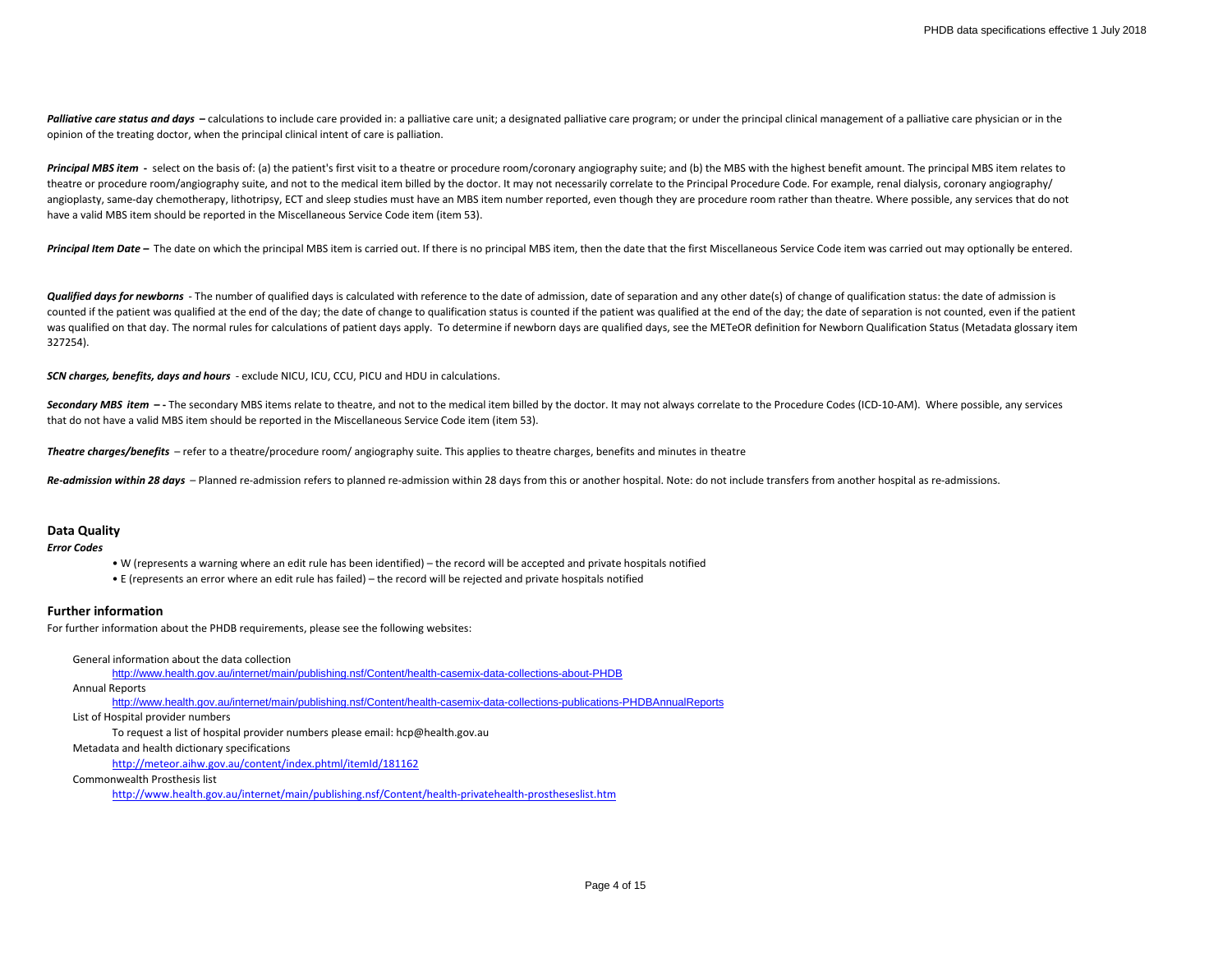Palliative care status and days - calculations to include care provided in: a palliative care unit; a designated palliative care program; or under the principal clinical management of a palliative care physician or in the opinion of the treating doctor, when the principal clinical intent of care is palliation.

Principal MBS item - select on the basis of: (a) the patient's first visit to a theatre or procedure room/coronary angiography suite; and (b) the MBS with the highest benefit amount. The principal MBS item relates to theatre or procedure room/angiography suite, and not to the medical item billed by the doctor. It may not necessarily correlate to the Principal Procedure Code. For example, renal dialysis, coronary angiography/ angioplasty, same-day chemotherapy, lithotripsy, ECT and sleep studies must have an MBS item number reported, even though they are procedure room rather than theatre. Where possible, any services that do not have a valid MBS item should be reported in the Miscellaneous Service Code item (item 53).

**Principal Item Date –** The date on which the principal MBS item is carried out. If there is no principal MBS item, then the date that the first Miscellaneous Service Code item was carried out may optionally be entered.

**Qualified days for newborns** - The number of qualified days is calculated with reference to the date of admission, date of separation and any other date(s) of change of qualification status: the date of admission is counted if the patient was qualified at the end of the day; the date of change to qualification status is counted if the patient was qualified at the end of the day; the date of separation is not counted, even if the patie was qualified on that day. The normal rules for calculations of patient days apply. To determine if newborn days are qualified days, see the METeOR definition for Newborn Qualification Status (Metadata glossary item 327254).

*SCN charges, benefits, days and hours* - exclude NICU, ICU, CCU, PICU and HDU in calculations.

Secondary MBS item -- The secondary MBS items relate to theatre, and not to the medical item billed by the doctor. It may not always correlate to the Procedure Codes (ICD-10-AM). Where possible, any services that do not have a valid MBS item should be reported in the Miscellaneous Service Code item (item 53).

*Theatre charges/benefits* – refer to a theatre/procedure room/ angiography suite. This applies to theatre charges, benefits and minutes in theatre

Re-admission within 28 days - Planned re-admission refers to planned re-admission within 28 days from this or another hospital. Note: do not include transfers from another hospital as re-admissions.

# **Data Quality**

*Error Codes*

- W (represents a warning where an edit rule has been identified) the record will be accepted and private hospitals notified
- E (represents an error where an edit rule has failed) the record will be rejected and private hospitals notified

#### **Further information**

For further information about the PHDB requirements, please see the following websites:

General information about the data collection

<http://www.health.gov.au/internet/main/publishing.nsf/Content/health-casemix-data-collections-about-PHDB>

Annual Reports

<http://www.health.gov.au/internet/main/publishing.nsf/Content/health-casemix-data-collections-publications-PHDBAnnualReports>

List of Hospital provider numbers

To request a list of hospital provider numbers please email: hcp@health.gov.au

Metadata and health dictionary specifications

<http://meteor.aihw.gov.au/content/index.phtml/itemId/181162>

Commonwealth Prosthesis list

http://www.health.gov.au/internet/main/publishing.nsf/Content/health-privatehealth-prostheseslist.htm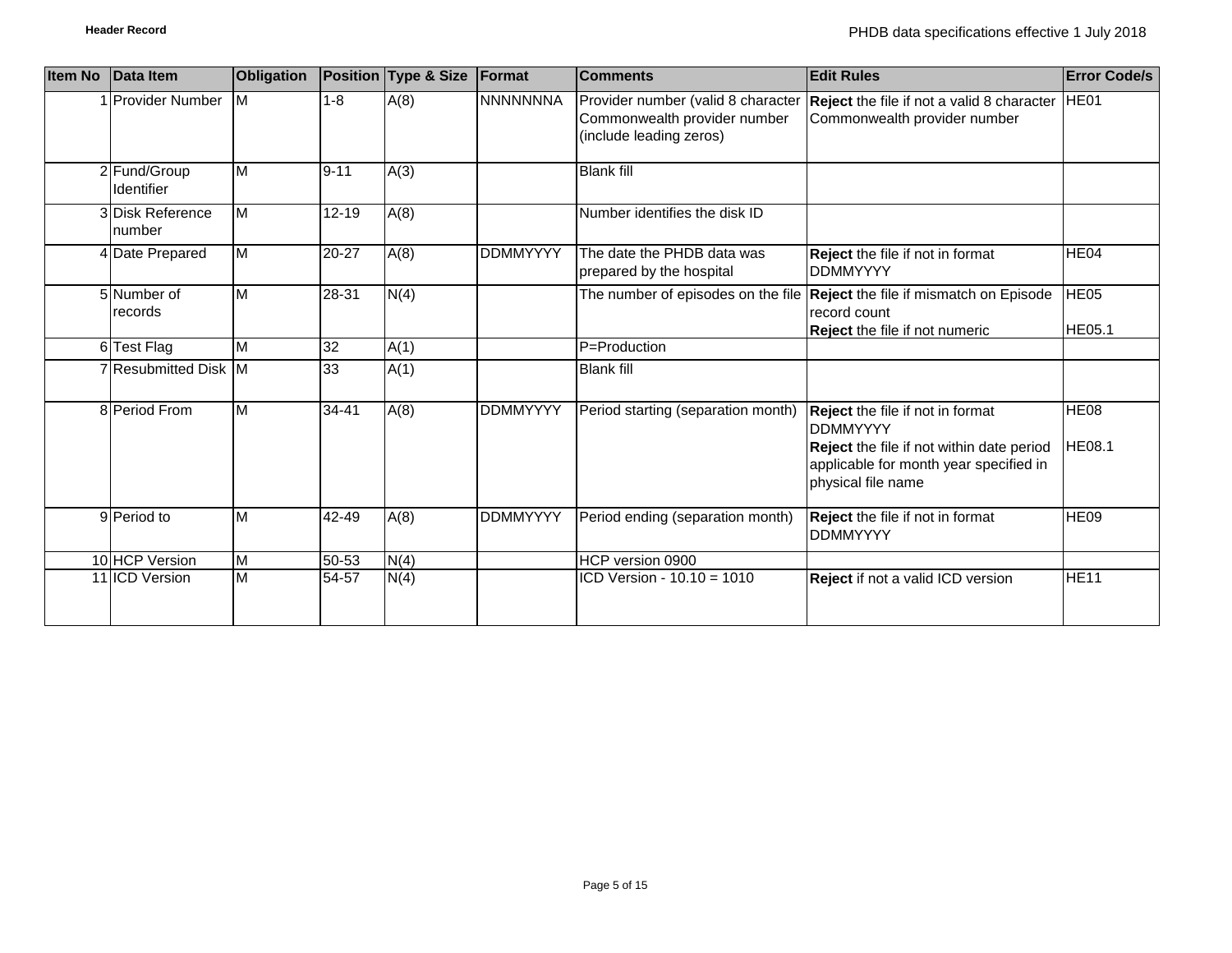| <b>Item No</b> | Data Item                  | <b>Obligation</b>       |           | Position Type & Size | Format          | <b>Comments</b>                                                                               | <b>Edit Rules</b>                                                                                                                                                       | <b>Error Code/s</b>          |
|----------------|----------------------------|-------------------------|-----------|----------------------|-----------------|-----------------------------------------------------------------------------------------------|-------------------------------------------------------------------------------------------------------------------------------------------------------------------------|------------------------------|
|                | <b>IProvider Number</b>    | <b>IM</b>               | $1 - 8$   | A(8)                 | <b>NNNNNNNA</b> | Provider number (valid 8 character<br>Commonwealth provider number<br>(include leading zeros) | <b>Reject</b> the file if not a valid 8 character<br>Commonwealth provider number                                                                                       | HE01                         |
|                | 2 Fund/Group<br>Identifier | $\overline{\mathsf{M}}$ | $9 - 11$  | A(3)                 |                 | <b>Blank fill</b>                                                                             |                                                                                                                                                                         |                              |
|                | 3 Disk Reference<br>number | $\overline{\mathsf{M}}$ | $12 - 19$ | A(8)                 |                 | Number identifies the disk ID                                                                 |                                                                                                                                                                         |                              |
|                | 4 Date Prepared            | $\overline{M}$          | 20-27     | A(8)                 | <b>DDMMYYYY</b> | The date the PHDB data was<br>prepared by the hospital                                        | Reject the file if not in format<br><b>DDMMYYYY</b>                                                                                                                     | HE <sub>04</sub>             |
|                | 5 Number of<br>records     | $\overline{\mathsf{M}}$ | 28-31     | N(4)                 |                 |                                                                                               | The number of episodes on the file Reject the file if mismatch on Episode<br>record count<br>Reject the file if not numeric                                             | <b>HE05</b><br>HE05.1        |
|                | 6 Test Flag                | $\overline{\mathsf{M}}$ | 32        | A(1)                 |                 | P=Production                                                                                  |                                                                                                                                                                         |                              |
|                | 7 Resubmitted Disk M       |                         | 33        | A(1)                 |                 | <b>Blank fill</b>                                                                             |                                                                                                                                                                         |                              |
|                | 8 Period From              | M                       | $34 - 41$ | A(8)                 | <b>DDMMYYYY</b> | Period starting (separation month)                                                            | Reject the file if not in format<br><b>DDMMYYYY</b><br><b>Reject</b> the file if not within date period<br>applicable for month year specified in<br>physical file name | <b>HE08</b><br><b>HE08.1</b> |
|                | 9 Period to                | M                       | $42 - 49$ | A(8)                 | <b>DDMMYYYY</b> | Period ending (separation month)                                                              | Reject the file if not in format<br><b>DDMMYYYY</b>                                                                                                                     | HE <sub>09</sub>             |
|                | 10 HCP Version             | M                       | $50 - 53$ | N(4)                 |                 | HCP version 0900                                                                              |                                                                                                                                                                         |                              |
|                | 11 ICD Version             | M                       | 54-57     | N(4)                 |                 | ICD Version - 10.10 = 1010                                                                    | <b>Reject</b> if not a valid ICD version                                                                                                                                | <b>HE11</b>                  |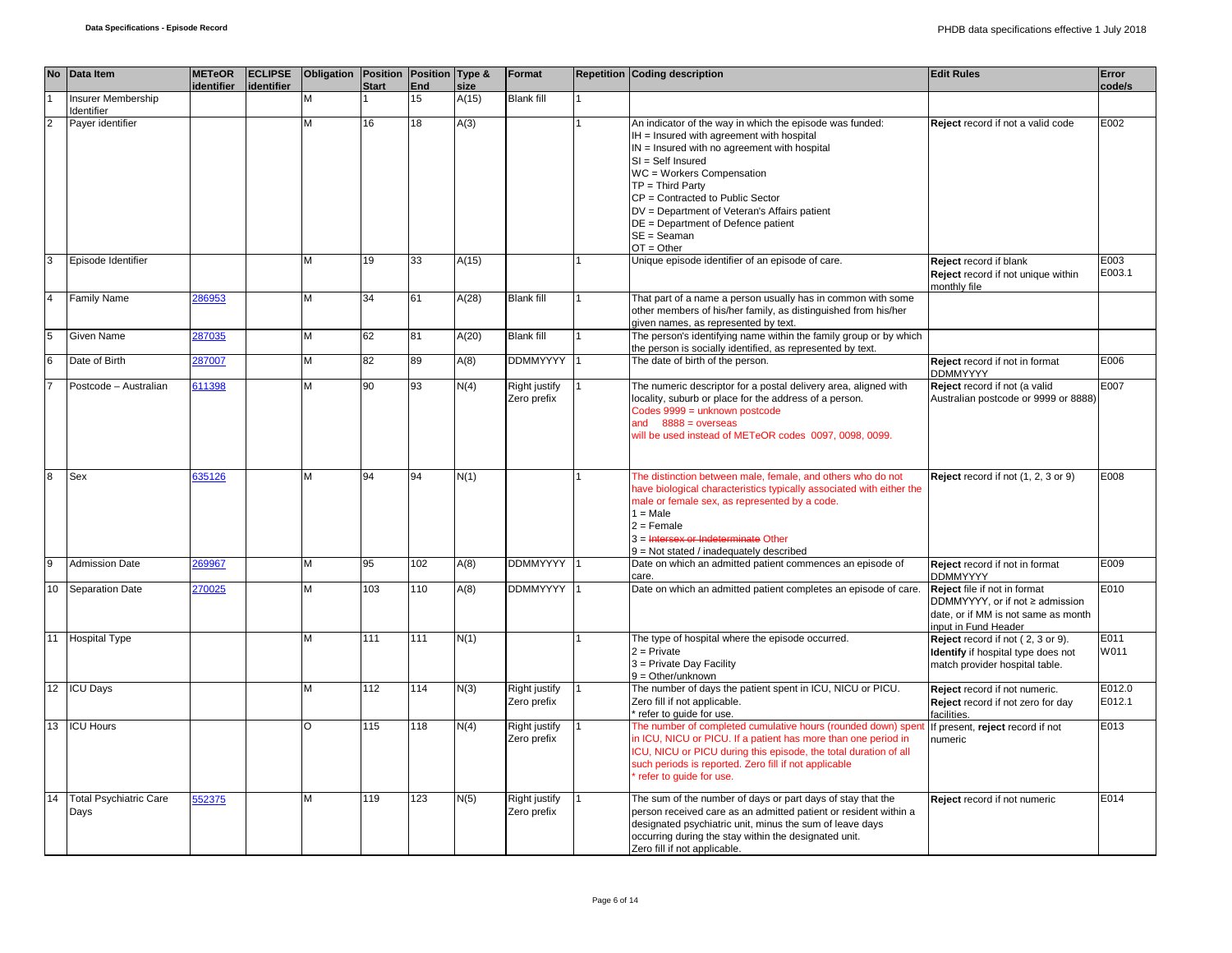|                | No Data Item                          | <b>METeOR</b><br>identifier | <b>ECLIPSE</b><br>identifier | Obligation Position Position Type & | <b>Start</b> | End             | size  | Format                              | <b>Repetition Coding description</b>                                                                                                                                                                                                                                                                                                                                                       | <b>Edit Rules</b>                                                                                                              | Error<br>code/s  |
|----------------|---------------------------------------|-----------------------------|------------------------------|-------------------------------------|--------------|-----------------|-------|-------------------------------------|--------------------------------------------------------------------------------------------------------------------------------------------------------------------------------------------------------------------------------------------------------------------------------------------------------------------------------------------------------------------------------------------|--------------------------------------------------------------------------------------------------------------------------------|------------------|
|                | <b>Insurer Membership</b>             |                             |                              | M                                   |              | 15              | A(15) | <b>Blank fill</b>                   |                                                                                                                                                                                                                                                                                                                                                                                            |                                                                                                                                |                  |
| $\overline{2}$ | Identifier<br>Payer identifier        |                             |                              | M                                   | 16           | $\overline{18}$ | A(3)  |                                     | An indicator of the way in which the episode was funded:<br>IH = Insured with agreement with hospital<br>$IN =$ Insured with no agreement with hospital<br>SI = Self Insured<br>WC = Workers Compensation<br>$TP = Third Party$<br>CP = Contracted to Public Sector<br>DV = Department of Veteran's Affairs patient<br>DE = Department of Defence patient<br>$SE = Seaman$<br>$OT = Other$ | Reject record if not a valid code                                                                                              | E002             |
|                | Episode Identifier                    |                             |                              | M                                   | 19           | 33              | A(15) |                                     | Unique episode identifier of an episode of care.                                                                                                                                                                                                                                                                                                                                           | Reject record if blank<br>Reject record if not unique within<br>monthly file                                                   | E003<br>E003.1   |
|                | <b>Family Name</b>                    | 286953                      |                              | M                                   | 34           | 61              | A(28) | <b>Blank fill</b>                   | That part of a name a person usually has in common with some<br>other members of his/her family, as distinguished from his/her<br>given names, as represented by text.                                                                                                                                                                                                                     |                                                                                                                                |                  |
|                | Given Name                            | 287035                      |                              | M                                   | 62           | 81              | A(20) | <b>Blank fill</b>                   | The person's identifying name within the family group or by which<br>the person is socially identified, as represented by text.                                                                                                                                                                                                                                                            |                                                                                                                                |                  |
|                | Date of Birth                         | 287007                      |                              | M                                   | 82           | 89              | A(8)  | <b>DDMMYYYY</b>                     | The date of birth of the person.                                                                                                                                                                                                                                                                                                                                                           | Reject record if not in format<br><b>DDMMYYYY</b>                                                                              | E006             |
|                | Postcode - Australian                 | 611398                      |                              | M                                   | 90           | 93              | N(4)  | <b>Right justify</b><br>Zero prefix | The numeric descriptor for a postal delivery area, aligned with<br>locality, suburb or place for the address of a person.<br>Codes 9999 = unknown postcode<br>and $8888 = 0$ verseas<br>will be used instead of METeOR codes 0097, 0098, 0099.                                                                                                                                             | Reject record if not (a valid<br>Australian postcode or 9999 or 8888)                                                          | E007             |
|                | Sex                                   | 635126                      |                              | M                                   | 94           | 94              | N(1)  |                                     | The distinction between male, female, and others who do not<br>have biological characteristics typically associated with either the<br>male or female sex, as represented by a code.<br>$1 = Male$<br>$2 =$ Female<br>3 = Intersex or Indeterminate Other<br>9 = Not stated / inadequately described                                                                                       | Reject record if not (1, 2, 3 or 9)                                                                                            | E008             |
|                | <b>Admission Date</b>                 | 269967                      |                              | M                                   | 95           | 102             | A(8)  | DDMMYYYY 1                          | Date on which an admitted patient commences an episode of<br>care.                                                                                                                                                                                                                                                                                                                         | Reject record if not in format<br><b>DDMMYYYY</b>                                                                              | E009             |
| 10             | <b>Separation Date</b>                | 270025                      |                              | M                                   | 103          | 110             | A(8)  | <b>DDMMYYYY</b>                     | Date on which an admitted patient completes an episode of care.                                                                                                                                                                                                                                                                                                                            | Reject file if not in format<br>DDMMYYYY, or if not ≥ admission<br>date, or if MM is not same as month<br>input in Fund Header | E010             |
|                | 11 Hospital Type                      |                             |                              | M                                   | 111          | 111             | N(1)  |                                     | The type of hospital where the episode occurred.<br>$2 =$ Private<br>3 = Private Day Facility<br>$9 = Other/unknown$                                                                                                                                                                                                                                                                       | Reject record if not (2, 3 or 9).<br>Identify if hospital type does not<br>match provider hospital table.                      | E011<br>W011     |
|                | 12 ICU Days                           |                             |                              | M                                   | 112          | 114             | N(3)  | <b>Right justify</b><br>Zero prefix | The number of days the patient spent in ICU, NICU or PICU.<br>Zero fill if not applicable.<br>* refer to quide for use.                                                                                                                                                                                                                                                                    | Reject record if not numeric.<br>Reject record if not zero for day<br>facilities.                                              | E012.0<br>E012.1 |
| 13             | <b>ICU Hours</b>                      |                             |                              | $\circ$                             | 115          | 118             | N(4)  | Right justify<br>Zero prefix        | The number of completed cumulative hours (rounded down) sper<br>in ICU, NICU or PICU. If a patient has more than one period in<br>ICU, NICU or PICU during this episode, the total duration of all<br>such periods is reported. Zero fill if not applicable<br>refer to quide for use.                                                                                                     | If present, reject record if not<br>numeric                                                                                    | E013             |
| 14             | <b>Total Psychiatric Care</b><br>Days | 552375                      |                              | M                                   | 119          | 123             | N(5)  | Right justify<br>Zero prefix        | The sum of the number of days or part days of stay that the<br>person received care as an admitted patient or resident within a<br>designated psychiatric unit, minus the sum of leave days<br>occurring during the stay within the designated unit.<br>Zero fill if not applicable.                                                                                                       | Reject record if not numeric                                                                                                   | E014             |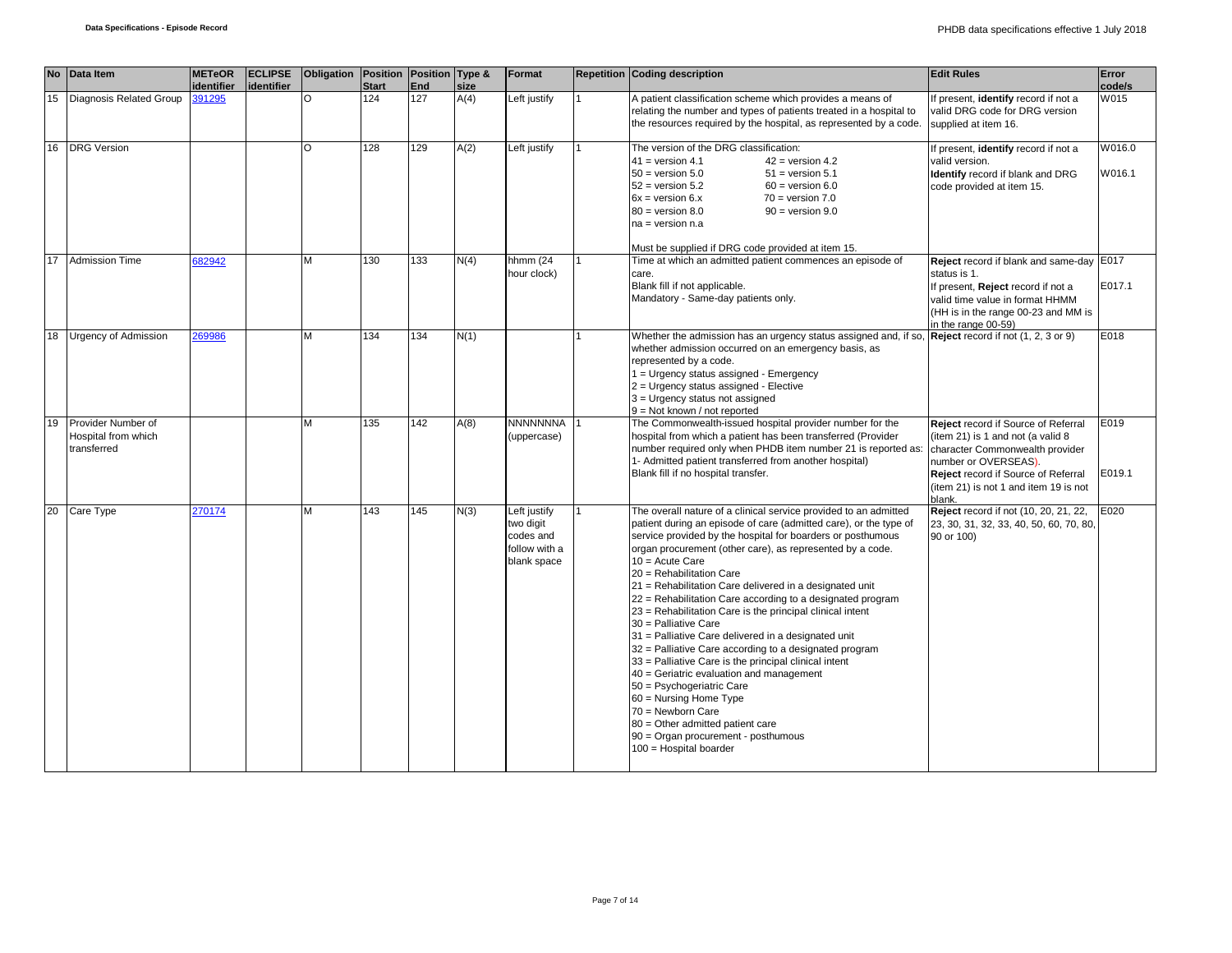|    | No Data Item                                             | <b>METeOR</b> | <b>ECLIPSE</b> | Obligation Position |              | Position Type & |      | Format                                                                 | <b>Repetition Coding description</b>                                                                                                                                                                                                                                                                                                                                                                                                                                                                                                                                                                                                                                                                                                                                                                                                                                                                                                      | <b>Edit Rules</b>                                                                                                                                                                                                             | Error            |
|----|----------------------------------------------------------|---------------|----------------|---------------------|--------------|-----------------|------|------------------------------------------------------------------------|-------------------------------------------------------------------------------------------------------------------------------------------------------------------------------------------------------------------------------------------------------------------------------------------------------------------------------------------------------------------------------------------------------------------------------------------------------------------------------------------------------------------------------------------------------------------------------------------------------------------------------------------------------------------------------------------------------------------------------------------------------------------------------------------------------------------------------------------------------------------------------------------------------------------------------------------|-------------------------------------------------------------------------------------------------------------------------------------------------------------------------------------------------------------------------------|------------------|
|    |                                                          | identifier    | identifier     |                     | <b>Start</b> | End             | size |                                                                        |                                                                                                                                                                                                                                                                                                                                                                                                                                                                                                                                                                                                                                                                                                                                                                                                                                                                                                                                           |                                                                                                                                                                                                                               | code/s           |
| 15 | Diagnosis Related Group                                  | 391295        |                |                     | 124          | 127             | A(4) | Left justify                                                           | A patient classification scheme which provides a means of<br>relating the number and types of patients treated in a hospital to<br>the resources required by the hospital, as represented by a code.                                                                                                                                                                                                                                                                                                                                                                                                                                                                                                                                                                                                                                                                                                                                      | f present, <i>identify</i> record if not a<br>valid DRG code for DRG version<br>supplied at item 16.                                                                                                                          | W015             |
|    | 16 DRG Version                                           |               |                | $\Omega$            | 128          | 129             | A(2) | Left justify                                                           | The version of the DRG classification:<br>$41 = version 4.1$<br>$42$ = version 4.2<br>$50 =$ version $5.0$<br>$51$ = version $5.1$<br>$52 =$ version $5.2$<br>$60 =$ version $6.0$<br>$6x = version 6.x$<br>$70 = version 7.0$<br>$80 =$ version $8.0$<br>$90 =$ version $9.0$<br>$na = version n.a$<br>Must be supplied if DRG code provided at item 15.                                                                                                                                                                                                                                                                                                                                                                                                                                                                                                                                                                                 | f present, <i>identify</i> record if not a<br>valid version.<br>Identify record if blank and DRG<br>code provided at item 15.                                                                                                 | W016.0<br>W016.1 |
| 17 | <b>Admission Time</b>                                    | 682942        |                | M                   | 130          | 133             | N(4) | hhmm (24<br>hour clock)                                                | Time at which an admitted patient commences an episode of<br>care.<br>Blank fill if not applicable.<br>Mandatory - Same-day patients only.                                                                                                                                                                                                                                                                                                                                                                                                                                                                                                                                                                                                                                                                                                                                                                                                | Reject record if blank and same-day E017<br>status is 1.<br>If present, Reject record if not a<br>valid time value in format HHMM<br>(HH is in the range 00-23 and MM is<br>in the range 00-59)                               | E017.1           |
|    | 18 Urgency of Admission                                  | 269986        |                | M                   | 134          | 134             | N(1) |                                                                        | Whether the admission has an urgency status assigned and, if so, <b>Reject</b> record if not (1, 2, 3 or 9)<br>whether admission occurred on an emergency basis, as<br>represented by a code.<br>1 = Urgency status assigned - Emergency<br>2 = Urgency status assigned - Elective<br>$3$ = Urgency status not assigned<br>9 = Not known / not reported                                                                                                                                                                                                                                                                                                                                                                                                                                                                                                                                                                                   |                                                                                                                                                                                                                               | E018             |
| 19 | Provider Number of<br>Hospital from which<br>transferred |               |                | М                   | 135          | 142             | A(8) | <b>NNNNNNNA</b><br>(uppercase)                                         | The Commonwealth-issued hospital provider number for the<br>hospital from which a patient has been transferred (Provider<br>number required only when PHDB item number 21 is reported as:<br>1- Admitted patient transferred from another hospital)<br>Blank fill if no hospital transfer.                                                                                                                                                                                                                                                                                                                                                                                                                                                                                                                                                                                                                                                | Reject record if Source of Referral<br>(item 21) is 1 and not (a valid 8<br>character Commonwealth provider<br>number or OVERSEAS).<br>Reject record if Source of Referral<br>(item 21) is not 1 and item 19 is not<br>blank. | E019<br>E019.1   |
|    | 20 Care Type                                             | 270174        |                | M                   | 143          | 145             | N(3) | Left justify<br>two digit<br>codes and<br>follow with a<br>blank space | The overall nature of a clinical service provided to an admitted<br>patient during an episode of care (admitted care), or the type of<br>service provided by the hospital for boarders or posthumous<br>organ procurement (other care), as represented by a code.<br>$10 = Acute Care$<br>20 = Rehabilitation Care<br>21 = Rehabilitation Care delivered in a designated unit<br>22 = Rehabilitation Care according to a designated program<br>23 = Rehabilitation Care is the principal clinical intent<br>30 = Palliative Care<br>31 = Palliative Care delivered in a designated unit<br>32 = Palliative Care according to a designated program<br>$33$ = Palliative Care is the principal clinical intent<br>40 = Geriatric evaluation and management<br>50 = Psychogeriatric Care<br>60 = Nursing Home Type<br>70 = Newborn Care<br>80 = Other admitted patient care<br>90 = Organ procurement - posthumous<br>100 = Hospital boarder | Reject record if not (10, 20, 21, 22,<br>23, 30, 31, 32, 33, 40, 50, 60, 70, 80,<br>90 or 100)                                                                                                                                | E020             |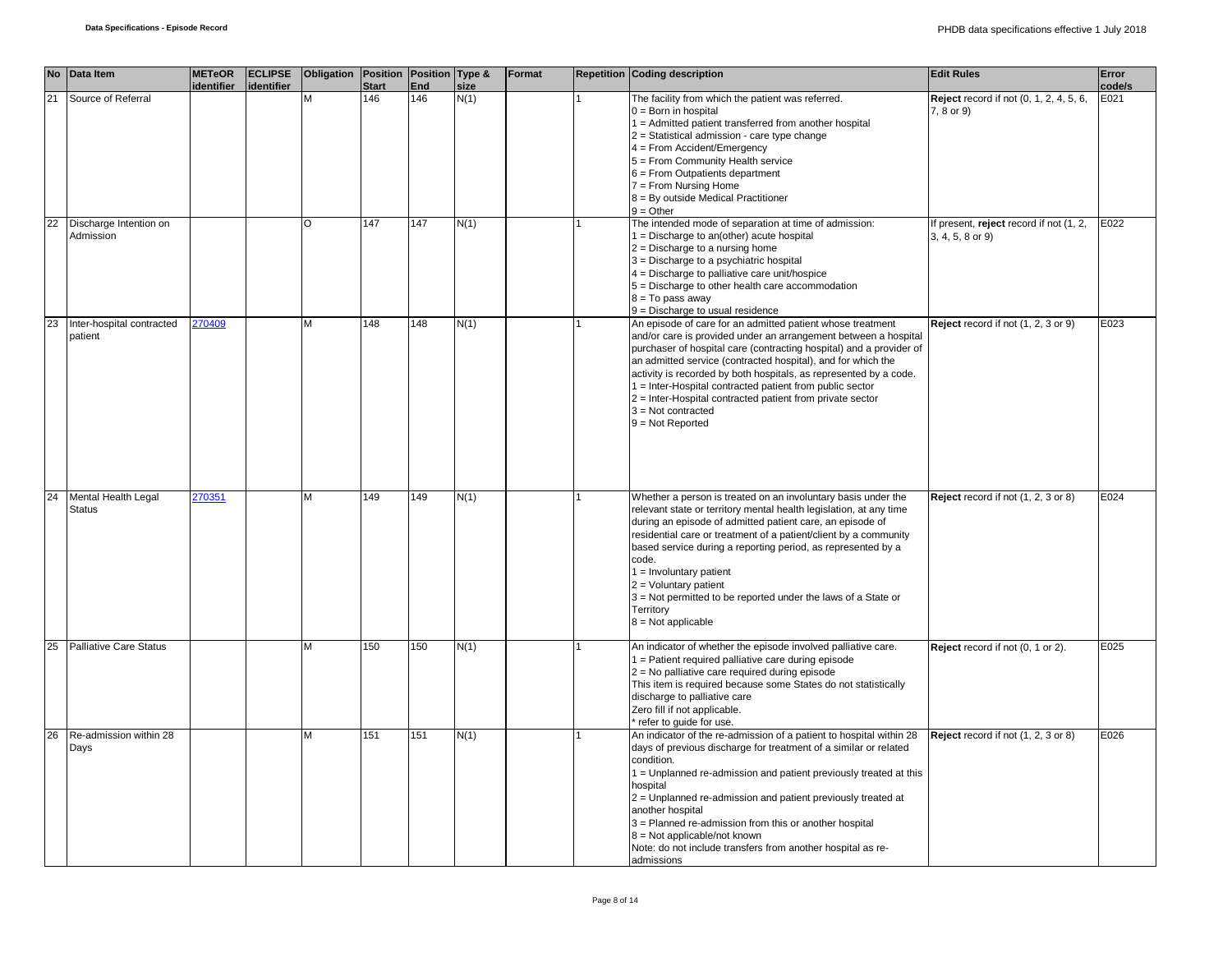| <b>No</b> | Data Item                            | <b>METeOR</b><br>identifier | <b>ECLIPSE</b><br>identifier | Obligation   Position   Position   Type & | <b>Start</b> | End | size | Format | Repetition Coding description                                                                                                                                                                                                                                                                                                                                                                                                                                                                                    | <b>Edit Rules</b>                                           | Error<br>code/s |
|-----------|--------------------------------------|-----------------------------|------------------------------|-------------------------------------------|--------------|-----|------|--------|------------------------------------------------------------------------------------------------------------------------------------------------------------------------------------------------------------------------------------------------------------------------------------------------------------------------------------------------------------------------------------------------------------------------------------------------------------------------------------------------------------------|-------------------------------------------------------------|-----------------|
| 21        | Source of Referral                   |                             |                              | M                                         | 146          | 146 | N(1) |        | The facility from which the patient was referred.<br>$0 = Born$ in hospital<br>$1 =$ Admitted patient transferred from another hospital<br>2 = Statistical admission - care type change<br>$4 =$ From Accident/Emergency<br>5 = From Community Health service<br>$6$ = From Outpatients department<br>$7 =$ From Nursing Home<br>8 = By outside Medical Practitioner<br>$9 = Other$                                                                                                                              | Reject record if not (0, 1, 2, 4, 5, 6,<br>7, 8 or 9)       | E021            |
| 22        | Discharge Intention on<br>Admission  |                             |                              | $\circ$                                   | 147          | 147 | N(1) |        | The intended mode of separation at time of admission:<br>$1 = Discharge$ to an(other) acute hospital<br>$2$ = Discharge to a nursing home<br>3 = Discharge to a psychiatric hospital<br>$4 =$ Discharge to palliative care unit/hospice<br>5 = Discharge to other health care accommodation<br>$8 = To pass away$<br>9 = Discharge to usual residence                                                                                                                                                            | If present, reject record if not (1, 2,<br>3, 4, 5, 8 or 9) | E022            |
| 23        | Inter-hospital contracted<br>patient | 270409                      |                              | M                                         | 148          | 148 | N(1) |        | An episode of care for an admitted patient whose treatment<br>and/or care is provided under an arrangement between a hospital<br>purchaser of hospital care (contracting hospital) and a provider of<br>an admitted service (contracted hospital), and for which the<br>activity is recorded by both hospitals, as represented by a code.<br>1 = Inter-Hospital contracted patient from public sector<br>2 = Inter-Hospital contracted patient from private sector<br>$3 = Not contracted$<br>$9 = Not Reported$ | Reject record if not (1, 2, 3 or 9)                         | E023            |
| 24        | Mental Health Legal<br><b>Status</b> | 270351                      |                              | M                                         | 149          | 149 | N(1) |        | Whether a person is treated on an involuntary basis under the<br>relevant state or territory mental health legislation, at any time<br>during an episode of admitted patient care, an episode of<br>residential care or treatment of a patient/client by a community<br>based service during a reporting period, as represented by a<br>code.<br>$1 =$ Involuntary patient<br>$2 =$ Voluntary patient<br>3 = Not permitted to be reported under the laws of a State or<br>Territory<br>$8 = Not applicable$      | Reject record if not (1, 2, 3 or 8)                         | E024            |
| 25        | <b>Palliative Care Status</b>        |                             |                              | M                                         | 150          | 150 | N(1) |        | An indicator of whether the episode involved palliative care.<br>1 = Patient required palliative care during episode<br>2 = No palliative care required during episode<br>This item is required because some States do not statistically<br>discharge to palliative care<br>Zero fill if not applicable.<br>refer to quide for use.                                                                                                                                                                              | Reject record if not (0, 1 or 2).                           | E025            |
| 26        | Re-admission within 28<br>Days       |                             |                              | M                                         | 151          | 151 | N(1) |        | An indicator of the re-admission of a patient to hospital within 28<br>days of previous discharge for treatment of a similar or related<br>condition.<br>1 = Unplanned re-admission and patient previously treated at this<br>hospital<br>2 = Unplanned re-admission and patient previously treated at<br>another hospital<br>3 = Planned re-admission from this or another hospital<br>8 = Not applicable/not known<br>Note: do not include transfers from another hospital as re-<br>admissions                | Reject record if not (1, 2, 3 or 8)                         | E026            |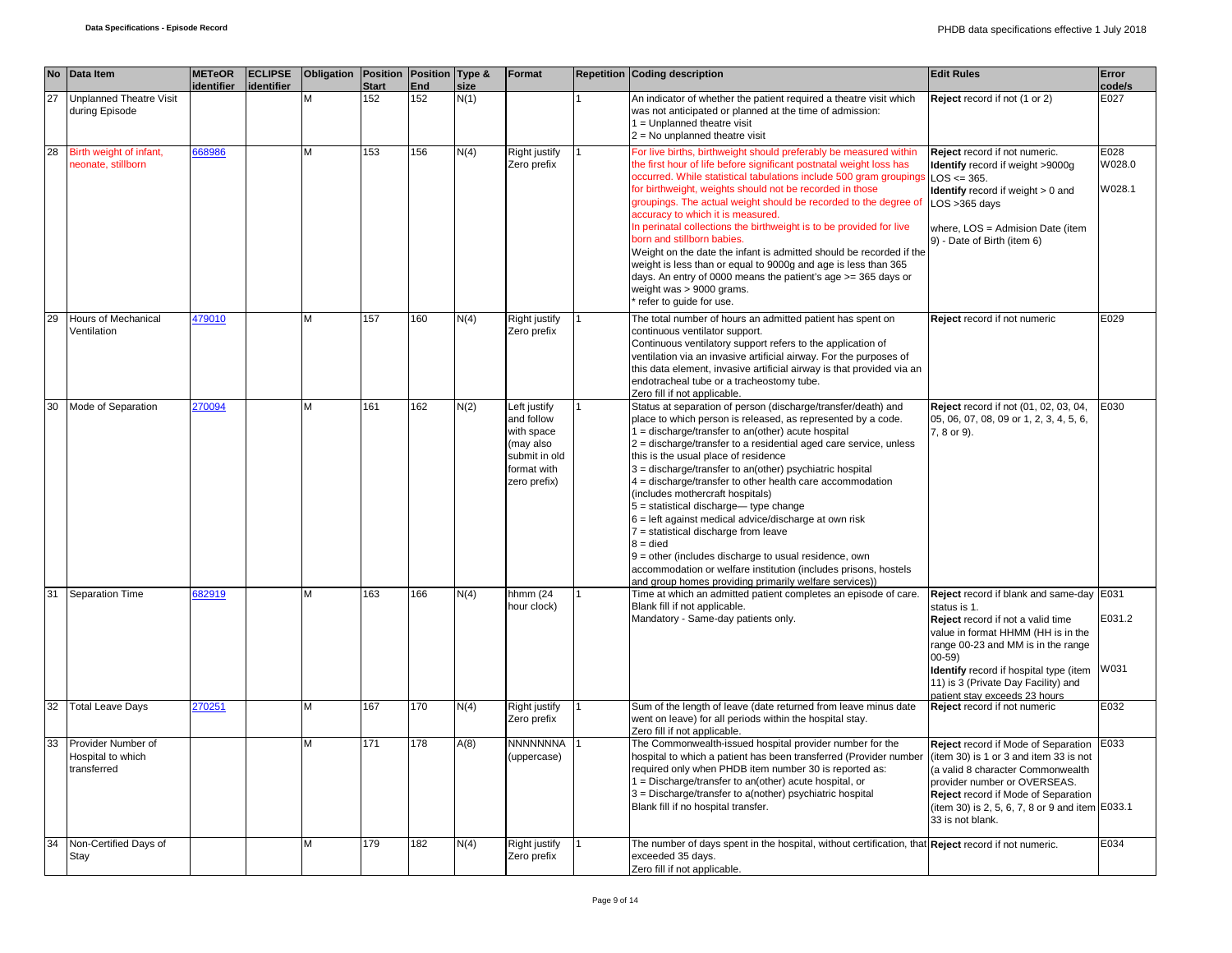|    | No Data Item                                           | <b>METeOR</b><br>identifier | <b>ECLIPSE</b><br>identifier | <b>Obligation Position</b> | <b>Start</b> | Position Type &<br>End | size | Format                                                                                                | <b>Repetition Coding description</b>                                                                                                                                                                                                                                                                                                                                                                                                                                                                                                                                                                                                                                                                                                                                                                                  | <b>Edit Rules</b>                                                                                                                                                                                                                                                                                        | Error<br>code/s          |
|----|--------------------------------------------------------|-----------------------------|------------------------------|----------------------------|--------------|------------------------|------|-------------------------------------------------------------------------------------------------------|-----------------------------------------------------------------------------------------------------------------------------------------------------------------------------------------------------------------------------------------------------------------------------------------------------------------------------------------------------------------------------------------------------------------------------------------------------------------------------------------------------------------------------------------------------------------------------------------------------------------------------------------------------------------------------------------------------------------------------------------------------------------------------------------------------------------------|----------------------------------------------------------------------------------------------------------------------------------------------------------------------------------------------------------------------------------------------------------------------------------------------------------|--------------------------|
| 27 | <b>Unplanned Theatre Visit</b><br>during Episode       |                             |                              |                            | 152          | 152                    | N(1) |                                                                                                       | An indicator of whether the patient required a theatre visit which<br>was not anticipated or planned at the time of admission:<br>1 = Unplanned theatre visit<br>$2 = No$ unplanned theatre visit                                                                                                                                                                                                                                                                                                                                                                                                                                                                                                                                                                                                                     | Reject record if not (1 or 2)                                                                                                                                                                                                                                                                            | E027                     |
| 28 | Birth weight of infant,<br>neonate, stillborn          | 668986                      |                              | M                          | 153          | 156                    | N(4) | Right justify<br>Zero prefix                                                                          | For live births, birthweight should preferably be measured within<br>the first hour of life before significant postnatal weight loss has<br>occurred. While statistical tabulations include 500 gram groupings<br>for birthweight, weights should not be recorded in those<br>groupings. The actual weight should be recorded to the degree of<br>accuracy to which it is measured.<br>In perinatal collections the birthweight is to be provided for live<br>born and stillborn babies.<br>Weight on the date the infant is admitted should be recorded if the<br>weight is less than or equal to 9000g and age is less than 365<br>days. An entry of 0000 means the patient's age >= 365 days or<br>weight was > 9000 grams.<br>refer to quide for use.                                                             | Reject record if not numeric.<br>Identify record if weight >9000g<br>$LOS \le 365.$<br><b>Identify</b> record if weight > 0 and<br>$LOS > 365$ days<br>where, LOS = Admision Date (item<br>9) - Date of Birth (item 6)                                                                                   | E028<br>W028.0<br>W028.1 |
| 29 | Hours of Mechanical<br>Ventilation                     | 479010                      |                              | M                          | 157          | 160                    | N(4) | Right justify<br>Zero prefix                                                                          | The total number of hours an admitted patient has spent on<br>continuous ventilator support.<br>Continuous ventilatory support refers to the application of<br>ventilation via an invasive artificial airway. For the purposes of<br>this data element, invasive artificial airway is that provided via an<br>endotracheal tube or a tracheostomy tube.<br>Zero fill if not applicable.                                                                                                                                                                                                                                                                                                                                                                                                                               | Reject record if not numeric                                                                                                                                                                                                                                                                             | E029                     |
| 30 | Mode of Separation                                     | 270094                      |                              | M                          | 161          | 162                    | N(2) | Left justify<br>and follow<br>with space<br>(may also<br>submit in old<br>format with<br>zero prefix) | Status at separation of person (discharge/transfer/death) and<br>place to which person is released, as represented by a code.<br>1 = discharge/transfer to an(other) acute hospital<br>$2 =$ discharge/transfer to a residential aged care service, unless<br>this is the usual place of residence<br>3 = discharge/transfer to an(other) psychiatric hospital<br>4 = discharge/transfer to other health care accommodation<br>(includes mothercraft hospitals)<br>$5 =$ statistical discharge-type change<br>$6$ = left against medical advice/discharge at own risk<br>$7$ = statistical discharge from leave<br>$8 = died$<br>$9$ = other (includes discharge to usual residence, own<br>accommodation or welfare institution (includes prisons, hostels<br>and group homes providing primarily welfare services)) | Reject record if not (01, 02, 03, 04,<br>05, 06, 07, 08, 09 or 1, 2, 3, 4, 5, 6,<br>7, 8 or 9).                                                                                                                                                                                                          | E030                     |
| 31 | <b>Separation Time</b>                                 | 82919                       |                              | M                          | 163          | 166                    | N(4) | hhmm (24<br>hour clock)                                                                               | Time at which an admitted patient completes an episode of care.<br>Blank fill if not applicable.<br>Mandatory - Same-day patients only.                                                                                                                                                                                                                                                                                                                                                                                                                                                                                                                                                                                                                                                                               | Reject record if blank and same-day E031<br>status is 1.<br>Reject record if not a valid time<br>value in format HHMM (HH is in the<br>range 00-23 and MM is in the range<br>$00 - 59$<br>Identify record if hospital type (item<br>11) is 3 (Private Day Facility) and<br>patient stay exceeds 23 hours | E031.2<br>W031           |
| 32 | <b>Total Leave Days</b>                                | 270251                      |                              | M                          | 167          | 170                    | N(4) | Right justify<br>Zero prefix                                                                          | Sum of the length of leave (date returned from leave minus date<br>went on leave) for all periods within the hospital stay.<br>Zero fill if not applicable.                                                                                                                                                                                                                                                                                                                                                                                                                                                                                                                                                                                                                                                           | Reject record if not numeric                                                                                                                                                                                                                                                                             | E032                     |
| 33 | Provider Number of<br>Hospital to which<br>transferred |                             |                              | M                          | 171          | 178                    | A(8) | NNNNNNNA<br>(uppercase)                                                                               | The Commonwealth-issued hospital provider number for the<br>hospital to which a patient has been transferred (Provider number<br>required only when PHDB item number 30 is reported as:<br>1 = Discharge/transfer to an(other) acute hospital, or<br>3 = Discharge/transfer to a(nother) psychiatric hospital<br>Blank fill if no hospital transfer.                                                                                                                                                                                                                                                                                                                                                                                                                                                                  | Reject record if Mode of Separation<br>(item 30) is 1 or 3 and item 33 is not<br>(a valid 8 character Commonwealth<br>provider number or OVERSEAS.<br>Reject record if Mode of Separation<br>(item 30) is 2, 5, 6, 7, 8 or 9 and item E033.1<br>33 is not blank.                                         | E033                     |
| 34 | Non-Certified Days of<br>Stay                          |                             |                              | M                          | 179          | 182                    | N(4) | Right justify<br>Zero prefix                                                                          | The number of days spent in the hospital, without certification, that Reject record if not numeric.<br>exceeded 35 days.<br>Zero fill if not applicable.                                                                                                                                                                                                                                                                                                                                                                                                                                                                                                                                                                                                                                                              |                                                                                                                                                                                                                                                                                                          | E034                     |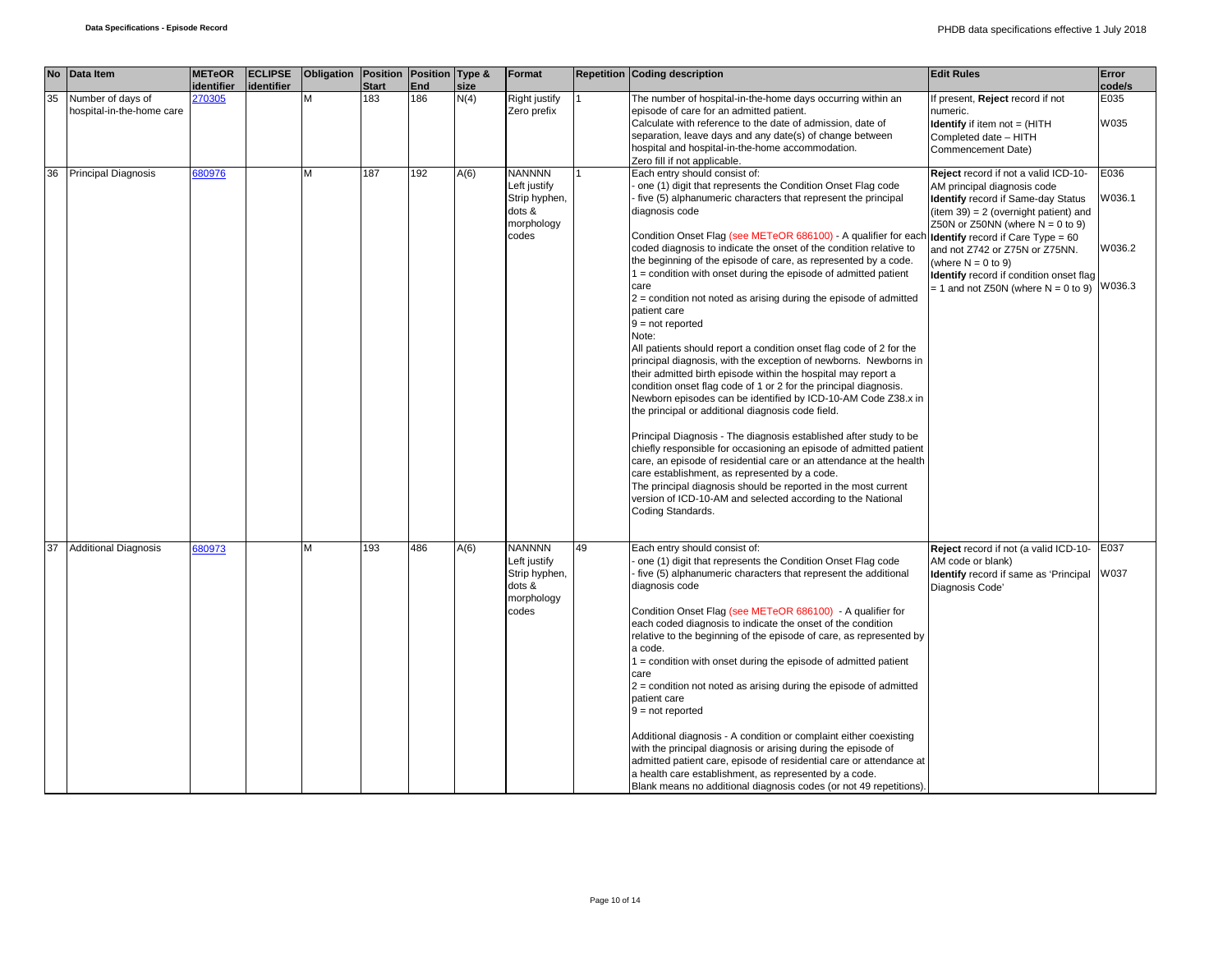|    | No Data Item                                   | <b>METeOR</b>     | <b>ECLIPSE</b> | Obligation Position |              | Position Type & |      | Format                                                                          |    | <b>Repetition Coding description</b>                                                                                                                                                                                                                                                                                                                                                                                                                                                                                                                                                                                                                                                                                                                                                                                                                                                                                                                                                                                                                                                                                                                                                                                                                                                                                                                                                                                        | <b>Edit Rules</b>                                                                                                                                                                                                                                                                                                                                                                            | Error                              |
|----|------------------------------------------------|-------------------|----------------|---------------------|--------------|-----------------|------|---------------------------------------------------------------------------------|----|-----------------------------------------------------------------------------------------------------------------------------------------------------------------------------------------------------------------------------------------------------------------------------------------------------------------------------------------------------------------------------------------------------------------------------------------------------------------------------------------------------------------------------------------------------------------------------------------------------------------------------------------------------------------------------------------------------------------------------------------------------------------------------------------------------------------------------------------------------------------------------------------------------------------------------------------------------------------------------------------------------------------------------------------------------------------------------------------------------------------------------------------------------------------------------------------------------------------------------------------------------------------------------------------------------------------------------------------------------------------------------------------------------------------------------|----------------------------------------------------------------------------------------------------------------------------------------------------------------------------------------------------------------------------------------------------------------------------------------------------------------------------------------------------------------------------------------------|------------------------------------|
|    |                                                | <i>identifier</i> | identifier     |                     | <b>Start</b> | End             | size |                                                                                 |    |                                                                                                                                                                                                                                                                                                                                                                                                                                                                                                                                                                                                                                                                                                                                                                                                                                                                                                                                                                                                                                                                                                                                                                                                                                                                                                                                                                                                                             |                                                                                                                                                                                                                                                                                                                                                                                              | code/s                             |
| 35 | Number of days of<br>hospital-in-the-home care | 270305            |                | M                   | 183          | 186             | N(4) | Right justify<br>Zero prefix                                                    |    | The number of hospital-in-the-home days occurring within an<br>episode of care for an admitted patient.<br>Calculate with reference to the date of admission, date of<br>separation, leave days and any date(s) of change between<br>hospital and hospital-in-the-home accommodation.<br>Zero fill if not applicable.                                                                                                                                                                                                                                                                                                                                                                                                                                                                                                                                                                                                                                                                                                                                                                                                                                                                                                                                                                                                                                                                                                       | f present, Reject record if not<br>numeric.<br><b>Identify</b> if item not = (HITH<br>Completed date - HITH<br>Commencement Date)                                                                                                                                                                                                                                                            | E035<br>W035                       |
| 36 | <b>Principal Diagnosis</b>                     | 680976            |                | м                   | 187          | 192             | A(6) | <b>NANNNN</b><br>Left justify<br>Strip hyphen,<br>dots &<br>morphology<br>codes |    | Each entry should consist of:<br>one (1) digit that represents the Condition Onset Flag code<br>five (5) alphanumeric characters that represent the principal<br>diagnosis code<br>Condition Onset Flag (see METeOR 686100) - A qualifier for each<br>coded diagnosis to indicate the onset of the condition relative to<br>the beginning of the episode of care, as represented by a code.<br>1 = condition with onset during the episode of admitted patient<br>care<br>$2$ = condition not noted as arising during the episode of admitted<br>patient care<br>$9 = not reported$<br>Note:<br>All patients should report a condition onset flag code of 2 for the<br>principal diagnosis, with the exception of newborns. Newborns in<br>their admitted birth episode within the hospital may report a<br>condition onset flag code of 1 or 2 for the principal diagnosis.<br>Newborn episodes can be identified by ICD-10-AM Code Z38.x in<br>the principal or additional diagnosis code field.<br>Principal Diagnosis - The diagnosis established after study to be<br>chiefly responsible for occasioning an episode of admitted patient<br>care, an episode of residential care or an attendance at the health<br>care establishment, as represented by a code.<br>The principal diagnosis should be reported in the most current<br>version of ICD-10-AM and selected according to the National<br>Coding Standards. | Reject record if not a valid ICD-10-<br>AM principal diagnosis code<br><b>Identify</b> record if Same-day Status<br>$item 39) = 2 (overnight patient)$ and<br>Z50N or Z50NN (where $N = 0$ to 9)<br><b>Identify</b> record if Care Type = 60<br>and not Z742 or Z75N or Z75NN.<br>(where $N = 0$ to 9)<br>Identify record if condition onset flag<br>$= 1$ and not Z50N (where N $= 0$ to 9) | E036<br>W036.1<br>W036.2<br>W036.3 |
| 37 | <b>Additional Diagnosis</b>                    | 680973            |                | М                   | 193          | 486             | A(6) | <b>NANNNN</b><br>Left justify<br>Strip hyphen,<br>dots &<br>morphology<br>codes | 49 | Each entry should consist of:<br>one (1) digit that represents the Condition Onset Flag code<br>five (5) alphanumeric characters that represent the additional<br>diagnosis code<br>Condition Onset Flag (see METeOR 686100) - A qualifier for<br>each coded diagnosis to indicate the onset of the condition<br>relative to the beginning of the episode of care, as represented by<br>a code.<br>1 = condition with onset during the episode of admitted patient<br>care<br>$2$ = condition not noted as arising during the episode of admitted<br>patient care<br>$9 = not reported$<br>Additional diagnosis - A condition or complaint either coexisting<br>with the principal diagnosis or arising during the episode of<br>admitted patient care, episode of residential care or attendance at<br>a health care establishment, as represented by a code.<br>Blank means no additional diagnosis codes (or not 49 repetitions).                                                                                                                                                                                                                                                                                                                                                                                                                                                                                        | Reject record if not (a valid ICD-10-<br>AM code or blank)<br>Identify record if same as 'Principal<br>Diagnosis Code'                                                                                                                                                                                                                                                                       | E037<br>W037                       |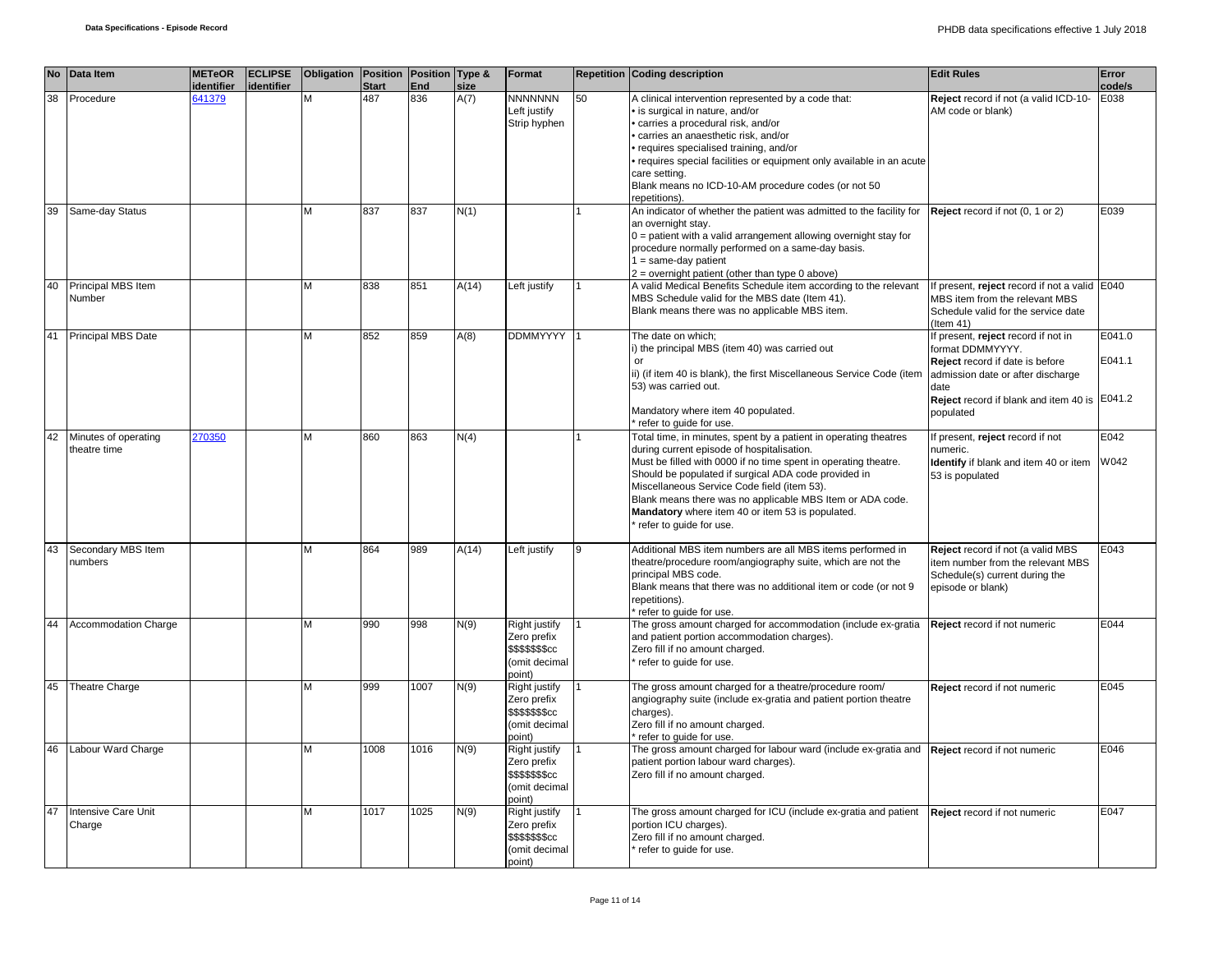|    | No Data Item                         | <b>METeOR</b><br>identifier | <b>ECLIPSE</b><br>identifier | Obligation   Position   Position   Type & | <b>Start</b> | End  | size  | Format                                                                                  |    | <b>Repetition Coding description</b>                                                                                                                                                                                                                                                                                                                                                                                                 | <b>Edit Rules</b>                                                                                                                                                                                    | Error<br>code/s  |
|----|--------------------------------------|-----------------------------|------------------------------|-------------------------------------------|--------------|------|-------|-----------------------------------------------------------------------------------------|----|--------------------------------------------------------------------------------------------------------------------------------------------------------------------------------------------------------------------------------------------------------------------------------------------------------------------------------------------------------------------------------------------------------------------------------------|------------------------------------------------------------------------------------------------------------------------------------------------------------------------------------------------------|------------------|
| 38 | Procedure                            | 641379                      |                              | M                                         | 487          | 836  | A(7)  | <b>NNNNNNN</b><br>Left justify<br>Strip hyphen                                          | 50 | A clinical intervention represented by a code that:<br>· is surgical in nature, and/or<br>· carries a procedural risk, and/or<br>· carries an anaesthetic risk, and/or<br>requires specialised training, and/or<br>· requires special facilities or equipment only available in an acute<br>care setting.<br>Blank means no ICD-10-AM procedure codes (or not 50<br>repetitions)                                                     | Reject record if not (a valid ICD-10-<br>AM code or blank)                                                                                                                                           | E038             |
| 39 | Same-day Status                      |                             |                              | М                                         | 837          | 837  | N(1)  |                                                                                         |    | An indicator of whether the patient was admitted to the facility for<br>an overnight stay.<br>$0 =$ patient with a valid arrangement allowing overnight stay for<br>procedure normally performed on a same-day basis.<br>$1 = same-day patient$<br>$2 =$ overnight patient (other than type 0 above)                                                                                                                                 | Reject record if not (0, 1 or 2)                                                                                                                                                                     | E039             |
| 40 | Principal MBS Item<br>Number         |                             |                              | M                                         | 838          | 851  | A(14) | Left justify                                                                            |    | A valid Medical Benefits Schedule item according to the relevant<br>MBS Schedule valid for the MBS date (Item 41).<br>Blank means there was no applicable MBS item.                                                                                                                                                                                                                                                                  | If present, reject record if not a valid E040<br>MBS item from the relevant MBS<br>Schedule valid for the service date<br>$($ ltem 41)                                                               |                  |
|    | 41 Principal MBS Date                |                             |                              | M                                         | 852          | 859  | A(8)  | <b>DDMMYYYY</b>                                                                         |    | The date on which;<br>i) the principal MBS (item 40) was carried out<br>or<br>ii) (if item 40 is blank), the first Miscellaneous Service Code (item<br>53) was carried out.<br>Mandatory where item 40 populated.<br>refer to guide for use.                                                                                                                                                                                         | If present, reject record if not in<br>format DDMMYYYY.<br>Reject record if date is before<br>admission date or after discharge<br>date<br>Reject record if blank and item 40 is E041.2<br>populated | E041.0<br>E041.1 |
| 42 | Minutes of operating<br>theatre time | 270350                      |                              | M                                         | 860          | 863  | N(4)  |                                                                                         |    | Total time, in minutes, spent by a patient in operating theatres<br>during current episode of hospitalisation.<br>Must be filled with 0000 if no time spent in operating theatre.<br>Should be populated if surgical ADA code provided in<br>Miscellaneous Service Code field (item 53).<br>Blank means there was no applicable MBS Item or ADA code.<br>Mandatory where item 40 or item 53 is populated.<br>refer to quide for use. | If present, reject record if not<br>numeric.<br>Identify if blank and item 40 or item W042<br>53 is populated                                                                                        | E042             |
| 43 | Secondary MBS Item<br>numbers        |                             |                              | M                                         | 864          | 989  | A(14) | Left justify                                                                            |    | Additional MBS item numbers are all MBS items performed in<br>theatre/procedure room/angiography suite, which are not the<br>principal MBS code.<br>Blank means that there was no additional item or code (or not 9<br>repetitions).<br>refer to guide for use.                                                                                                                                                                      | Reject record if not (a valid MBS<br>item number from the relevant MBS<br>Schedule(s) current during the<br>episode or blank)                                                                        | E043             |
|    | <b>Accommodation Charge</b>          |                             |                              | M                                         | 990          | 998  | N(9)  | Right justify<br>Zero prefix<br>\$\$\$\$\$\$\$cc<br>(omit decimal<br>(point             |    | The gross amount charged for accommodation (include ex-gratia<br>and patient portion accommodation charges).<br>Zero fill if no amount charged.<br>refer to quide for use.                                                                                                                                                                                                                                                           | Reject record if not numeric                                                                                                                                                                         | E044             |
| 45 | Theatre Charge                       |                             |                              | M                                         | 999          | 1007 | N(9)  | Right justify<br>Zero prefix<br>\$\$\$\$\$\$\$cc<br>(omit decimal<br>point)             |    | The gross amount charged for a theatre/procedure room/<br>angiography suite (include ex-gratia and patient portion theatre<br>charges).<br>Zero fill if no amount charged.<br>* refer to quide for use.                                                                                                                                                                                                                              | Reject record if not numeric                                                                                                                                                                         | E045             |
| 46 | Labour Ward Charge                   |                             |                              | М                                         | 1008         | 1016 | N(9)  | Right justify<br>Zero prefix<br>\$\$\$\$\$\$ <sub>\$cc</sub><br>(omit decimal<br>point) |    | The gross amount charged for labour ward (include ex-gratia and <b>Reject</b> record if not numeric<br>patient portion labour ward charges).<br>Zero fill if no amount charged.                                                                                                                                                                                                                                                      |                                                                                                                                                                                                      | E046             |
| 47 | Intensive Care Unit<br>Charge        |                             |                              | M                                         | 1017         | 1025 | N(9)  | Right justify<br>Zero prefix<br>\$\$\$\$\$\$ <sub>\$cc</sub><br>(omit decimal<br>point) |    | The gross amount charged for ICU (include ex-gratia and patient<br>portion ICU charges).<br>Zero fill if no amount charged.<br>refer to quide for use.                                                                                                                                                                                                                                                                               | Reject record if not numeric                                                                                                                                                                         | E047             |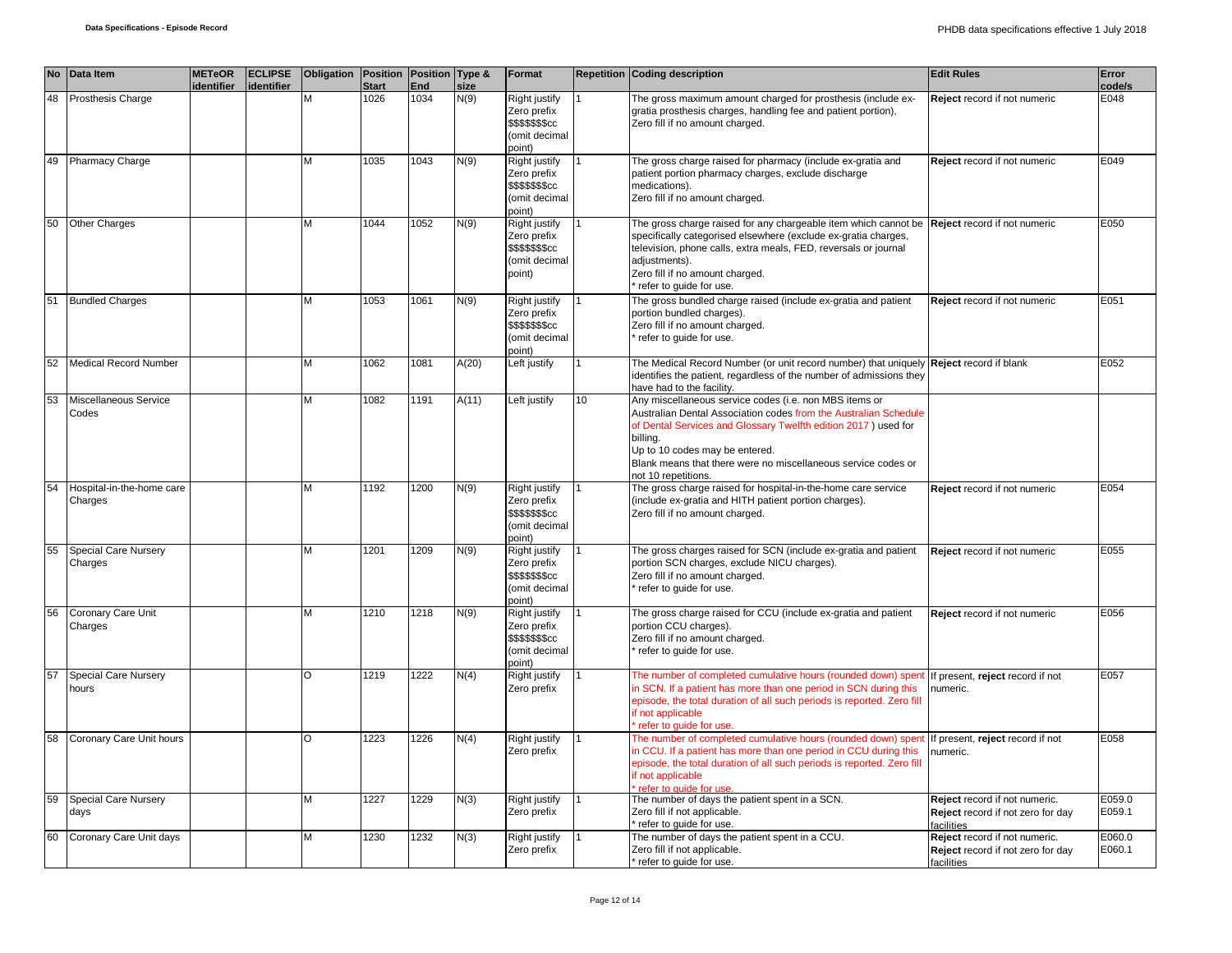|    | No Data Item                         | <b>METeOR</b><br>identifier | <b>ECLIPSE</b><br>identifier | Obligation   Position   Position   Type & | <b>Start</b> | End  | size  | Format                                                                                  |    | <b>Repetition Coding description</b>                                                                                                                                                                                                                                                                                               | <b>Edit Rules</b>                                                                | Error<br>code/s  |
|----|--------------------------------------|-----------------------------|------------------------------|-------------------------------------------|--------------|------|-------|-----------------------------------------------------------------------------------------|----|------------------------------------------------------------------------------------------------------------------------------------------------------------------------------------------------------------------------------------------------------------------------------------------------------------------------------------|----------------------------------------------------------------------------------|------------------|
| 48 | Prosthesis Charge                    |                             |                              | м                                         | 1026         | 1034 | N(9)  | Right justify<br>Zero prefix<br><b>\$\$\$\$\$\$\$cc</b><br>(omit decimal<br>point)      |    | The gross maximum amount charged for prosthesis (include ex-<br>gratia prosthesis charges, handling fee and patient portion),<br>Zero fill if no amount charged.                                                                                                                                                                   | Reject record if not numeric                                                     | E048             |
| 49 | <b>Pharmacy Charge</b>               |                             |                              | M                                         | 1035         | 1043 | N(9)  | Right justify<br>Zero prefix<br>\$\$\$\$\$\$\$cc<br>(omit decimal<br>(point             |    | The gross charge raised for pharmacy (include ex-gratia and<br>patient portion pharmacy charges, exclude discharge<br>medications).<br>Zero fill if no amount charged.                                                                                                                                                             | Reject record if not numeric                                                     | E049             |
| 50 | <b>Other Charges</b>                 |                             |                              | M                                         | 1044         | 1052 | N(9)  | Right justify<br>Zero prefix<br>\$\$\$\$\$\$ <sub>\$cc</sub><br>(omit decimal<br>point) |    | The gross charge raised for any chargeable item which cannot be Reject record if not numeric<br>specifically categorised elsewhere (exclude ex-gratia charges,<br>television, phone calls, extra meals, FED, reversals or journal<br>adjustments).<br>Zero fill if no amount charged.<br>refer to quide for use.                   |                                                                                  | E050             |
| 51 | <b>Bundled Charges</b>               |                             |                              | M                                         | 1053         | 1061 | N(9)  | Right justify<br>Zero prefix<br><b>\$\$\$\$\$\$\$cc</b><br>(omit decimal<br>point)      |    | The gross bundled charge raised (include ex-gratia and patient<br>portion bundled charges).<br>Zero fill if no amount charged.<br>refer to guide for use.                                                                                                                                                                          | Reject record if not numeric                                                     | E051             |
| 52 | <b>Medical Record Number</b>         |                             |                              | Μ                                         | 1062         | 1081 | A(20) | Left justify                                                                            |    | The Medical Record Number (or unit record number) that uniquely Reject record if blank<br>identifies the patient, regardless of the number of admissions they<br>have had to the facility.                                                                                                                                         |                                                                                  | E052             |
| 53 | Miscellaneous Service<br>Codes       |                             |                              | М                                         | 1082         | 1191 | A(11) | Left justify                                                                            | 10 | Any miscellaneous service codes (i.e. non MBS items or<br>Australian Dental Association codes from the Australian Schedule<br>of Dental Services and Glossary Twelfth edition 2017) used for<br>billing.<br>Up to 10 codes may be entered.<br>Blank means that there were no miscellaneous service codes or<br>not 10 repetitions. |                                                                                  |                  |
| 54 | Hospital-in-the-home care<br>Charges |                             |                              | м                                         | 1192         | 1200 | N(9)  | Right justify<br>Zero prefix<br>\$\$\$\$\$\$\$cc<br>(omit decimal<br>(point             |    | The gross charge raised for hospital-in-the-home care service<br>(include ex-gratia and HITH patient portion charges).<br>Zero fill if no amount charged.                                                                                                                                                                          | Reject record if not numeric                                                     | E054             |
| 55 | Special Care Nursery<br>Charges      |                             |                              | M                                         | 1201         | 1209 | N(9)  | <b>Right justify</b><br>Zero prefix<br>\$\$\$\$\$\$\$cc<br>(omit decimal<br>(boc        |    | The gross charges raised for SCN (include ex-gratia and patient<br>portion SCN charges, exclude NICU charges).<br>Zero fill if no amount charged.<br>refer to guide for use.                                                                                                                                                       | Reject record if not numeric                                                     | E055             |
| 56 | Coronary Care Unit<br>Charges        |                             |                              | M                                         | 1210         | 1218 | N(9)  | <b>Right justify</b><br>Zero prefix<br>\$\$\$\$\$\$\$cc<br>(omit decimal<br>point)      |    | The gross charge raised for CCU (include ex-gratia and patient<br>portion CCU charges).<br>Zero fill if no amount charged.<br>refer to quide for use.                                                                                                                                                                              | Reject record if not numeric                                                     | E056             |
| 57 | <b>Special Care Nursery</b><br>hours |                             |                              | $\circ$                                   | 1219         | 1222 | N(4)  | <b>Right justify</b><br>Zero prefix                                                     |    | The number of completed cumulative hours (rounded down) spen<br>in SCN. If a patient has more than one period in SCN during this<br>episode, the total duration of all such periods is reported. Zero fill<br>if not applicable<br>refer to quide for use.                                                                         | If present, reject record if not<br>numeric.                                     | E057             |
| 58 | Coronary Care Unit hours             |                             |                              | $\Omega$                                  | 1223         | 1226 | N(4)  | <b>Right justify</b><br>Zero prefix                                                     |    | The number of completed cumulative hours (rounded down) sper<br>in CCU. If a patient has more than one period in CCU during this<br>episode, the total duration of all such periods is reported. Zero fill<br>if not applicable<br>refer to quide for use.                                                                         | If present, reject record if not<br>numeric.                                     | E058             |
| 59 | <b>Special Care Nursery</b><br>days  |                             |                              | М                                         | 1227         | 1229 | N(3)  | <b>Right justify</b><br>Zero prefix                                                     |    | The number of days the patient spent in a SCN.<br>Zero fill if not applicable.<br>refer to guide for use.                                                                                                                                                                                                                          | Reject record if not numeric.<br>Reject record if not zero for day<br>facilities | E059.0<br>E059.1 |
| 60 | Coronary Care Unit days              |                             |                              | M                                         | 1230         | 1232 | N(3)  | <b>Right justify</b><br>Zero prefix                                                     |    | The number of days the patient spent in a CCU.<br>Zero fill if not applicable.<br>* refer to guide for use.                                                                                                                                                                                                                        | Reject record if not numeric.<br>Reject record if not zero for day<br>facilities | E060.0<br>E060.1 |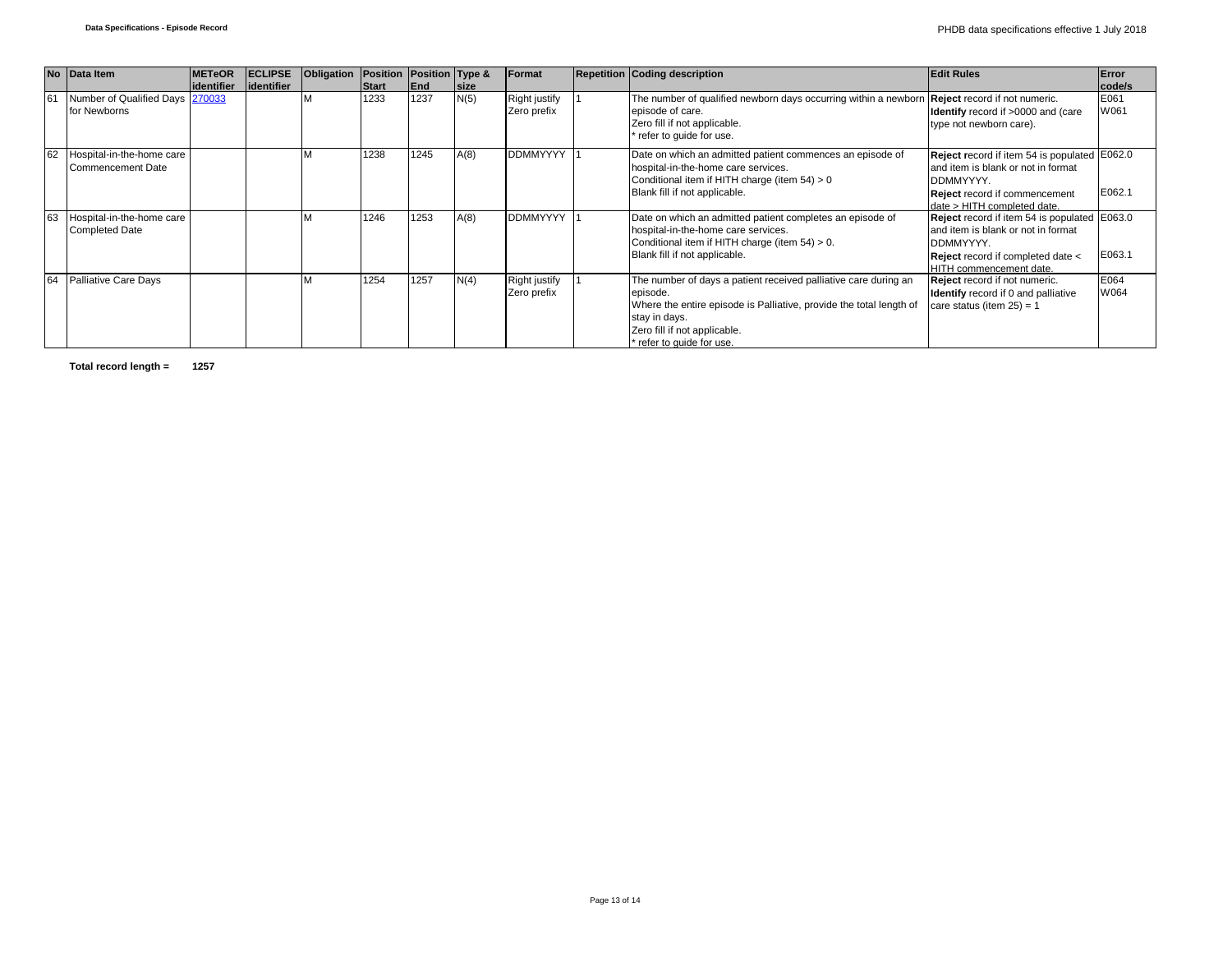|    | No Data Item                                          | <b>IMETeOR</b> | <b>ECLIPSE</b> | Obligation | <b>Position Position Type &amp;</b> |      |             | Format                              | <b>Repetition Coding description</b>                                                                                                                                                                                             | <b>Edit Rules</b>                                                                                                                                                             | Error        |
|----|-------------------------------------------------------|----------------|----------------|------------|-------------------------------------|------|-------------|-------------------------------------|----------------------------------------------------------------------------------------------------------------------------------------------------------------------------------------------------------------------------------|-------------------------------------------------------------------------------------------------------------------------------------------------------------------------------|--------------|
|    |                                                       | lidentifier    | lidentifier    |            | <b>Start</b>                        | End  | <b>size</b> |                                     |                                                                                                                                                                                                                                  |                                                                                                                                                                               | code/s       |
| 61 | Number of Qualified Days 270033<br>for Newborns       |                |                |            | 1233                                | 1237 | N(5)        | <b>Right justify</b><br>Zero prefix | The number of qualified newborn days occurring within a newborn<br>episode of care.<br>Zero fill if not applicable.<br>refer to guide for use.                                                                                   | <b>Reject</b> record if not numeric.<br>Identify record if >0000 and (care<br>type not newborn care).                                                                         | E061<br>W061 |
| 62 | Hospital-in-the-home care<br><b>Commencement Date</b> |                |                |            | 1238                                | 1245 | A(8)        | <b>DDMMYYYY</b>                     | Date on which an admitted patient commences an episode of<br>hospital-in-the-home care services.<br>Conditional item if HITH charge (item 54) > 0<br>Blank fill if not applicable.                                               | Reject record if item 54 is populated E062.0<br>and item is blank or not in format<br><b>DDMMYYYY.</b><br><b>Reject</b> record if commencement<br>date > HITH completed date. | E062.1       |
| 63 | Hospital-in-the-home care<br><b>Completed Date</b>    |                |                |            | 1246                                | 1253 | A(8)        | DDMMYYYY                            | Date on which an admitted patient completes an episode of<br>hospital-in-the-home care services.<br>Conditional item if HITH charge (item 54) > 0.<br>Blank fill if not applicable.                                              | Reject record if item 54 is populated E063.0<br>and item is blank or not in format<br>DDMMYYYY.<br>Reject record if completed date <<br><b>HITH</b> commencement date.        | E063.1       |
| 64 | <b>Palliative Care Days</b>                           |                |                |            | 1254                                | 1257 | N(4)        | <b>Right justify</b><br>Zero prefix | The number of days a patient received palliative care during an<br>episode.<br>Where the entire episode is Palliative, provide the total length of<br>stay in days.<br>Zero fill if not applicable.<br>* refer to quide for use. | Reject record if not numeric.<br><b>Identify</b> record if 0 and palliative<br>care status (item $25$ ) = 1                                                                   | E064<br>W064 |

**Total record length = 1257**